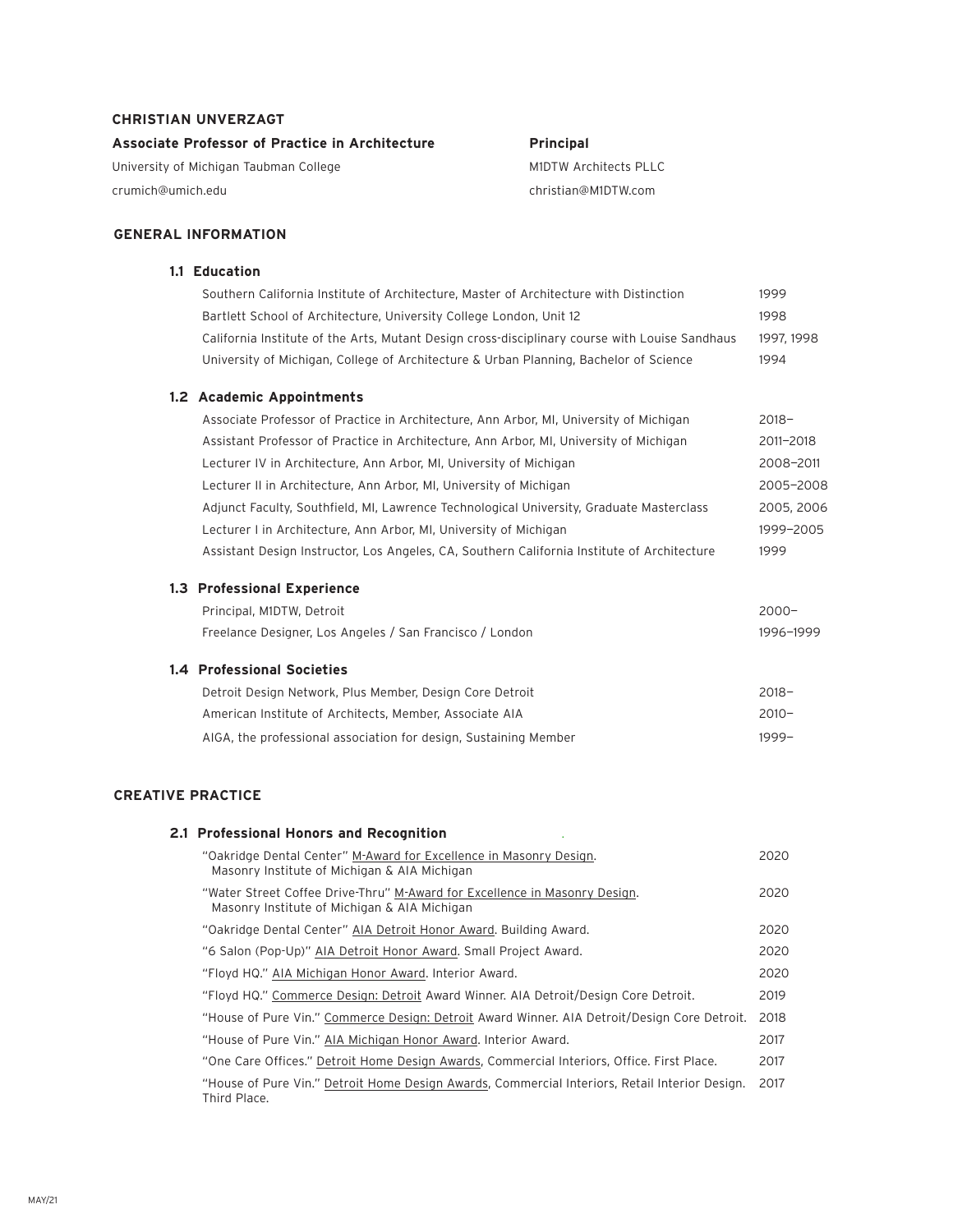### **CHRISTIAN UNVERZAGT**

**Associate Professor of Practice in Architecture** 

University of Michigan Taubman College crumich@umich.edu

### **Principal**

M1DTW Architects PLLC christian@M1DTW.com

## **GENERAL INFORMATION**

### **1.1 Education**

| Southern California Institute of Architecture, Master of Architecture with Distinction         | 1999       |
|------------------------------------------------------------------------------------------------|------------|
| Bartlett School of Architecture, University College London, Unit 12                            | 1998       |
| California Institute of the Arts, Mutant Design cross-disciplinary course with Louise Sandhaus | 1997, 1998 |
| University of Michigan, College of Architecture & Urban Planning, Bachelor of Science          | 1994       |
| 1.2 Academic Appointments                                                                      |            |
| Associate Professor of Practice in Architecture, Ann Arbor, MI, University of Michigan         | $2018 -$   |
| Assistant Professor of Practice in Architecture, Ann Arbor, MI, University of Michigan         | 2011-2018  |
| Lecturer IV in Architecture, Ann Arbor, MI, University of Michigan                             | 2008-2011  |
| Lecturer II in Architecture, Ann Arbor, MI, University of Michigan                             | 2005-2008  |
| Adjunct Faculty, Southfield, MI, Lawrence Technological University, Graduate Masterclass       | 2005, 2006 |
| Lecturer I in Architecture, Ann Arbor, MI, University of Michigan                              | 1999-2005  |
| Assistant Design Instructor, Los Angeles, CA, Southern California Institute of Architecture    | 1999       |
| <b>1.3 Professional Experience</b>                                                             |            |
| Principal, M1DTW, Detroit                                                                      | $2000 -$   |
| Freelance Designer, Los Angeles / San Francisco / London                                       | 1996-1999  |
| <b>1.4 Professional Societies</b>                                                              |            |
| Detroit Design Network, Plus Member, Design Core Detroit                                       | $2018 -$   |
| American Institute of Architects, Member, Associate AIA                                        | $2010 -$   |
| AIGA, the professional association for design, Sustaining Member                               | $1999 -$   |
|                                                                                                |            |

### **CREATIVE PRACTICE**

#### **2.1 Professional Honors and Recognition** .

| "Oakridge Dental Center" M-Award for Excellence in Masonry Design.<br>Masonry Institute of Michigan & AIA Michigan         | 2020 |
|----------------------------------------------------------------------------------------------------------------------------|------|
| "Water Street Coffee Drive-Thru" M-Award for Excellence in Masonry Design.<br>Masonry Institute of Michigan & AIA Michigan | 2020 |
| "Oakridge Dental Center" AIA Detroit Honor Award. Building Award.                                                          | 2020 |
| "6 Salon (Pop-Up)" AIA Detroit Honor Award. Small Project Award.                                                           | 2020 |
| "Floyd HQ." AIA Michigan Honor Award. Interior Award.                                                                      | 2020 |
| "Floyd HQ." Commerce Design: Detroit Award Winner. AIA Detroit/Design Core Detroit.                                        | 2019 |
| "House of Pure Vin." Commerce Design: Detroit Award Winner. AIA Detroit/Design Core Detroit.                               | 2018 |
| "House of Pure Vin." AIA Michigan Honor Award. Interior Award.                                                             | 2017 |
| "One Care Offices." Detroit Home Design Awards, Commercial Interiors, Office. First Place.                                 | 2017 |
| "House of Pure Vin." Detroit Home Design Awards, Commercial Interiors, Retail Interior Design.<br>Third Place.             | 2017 |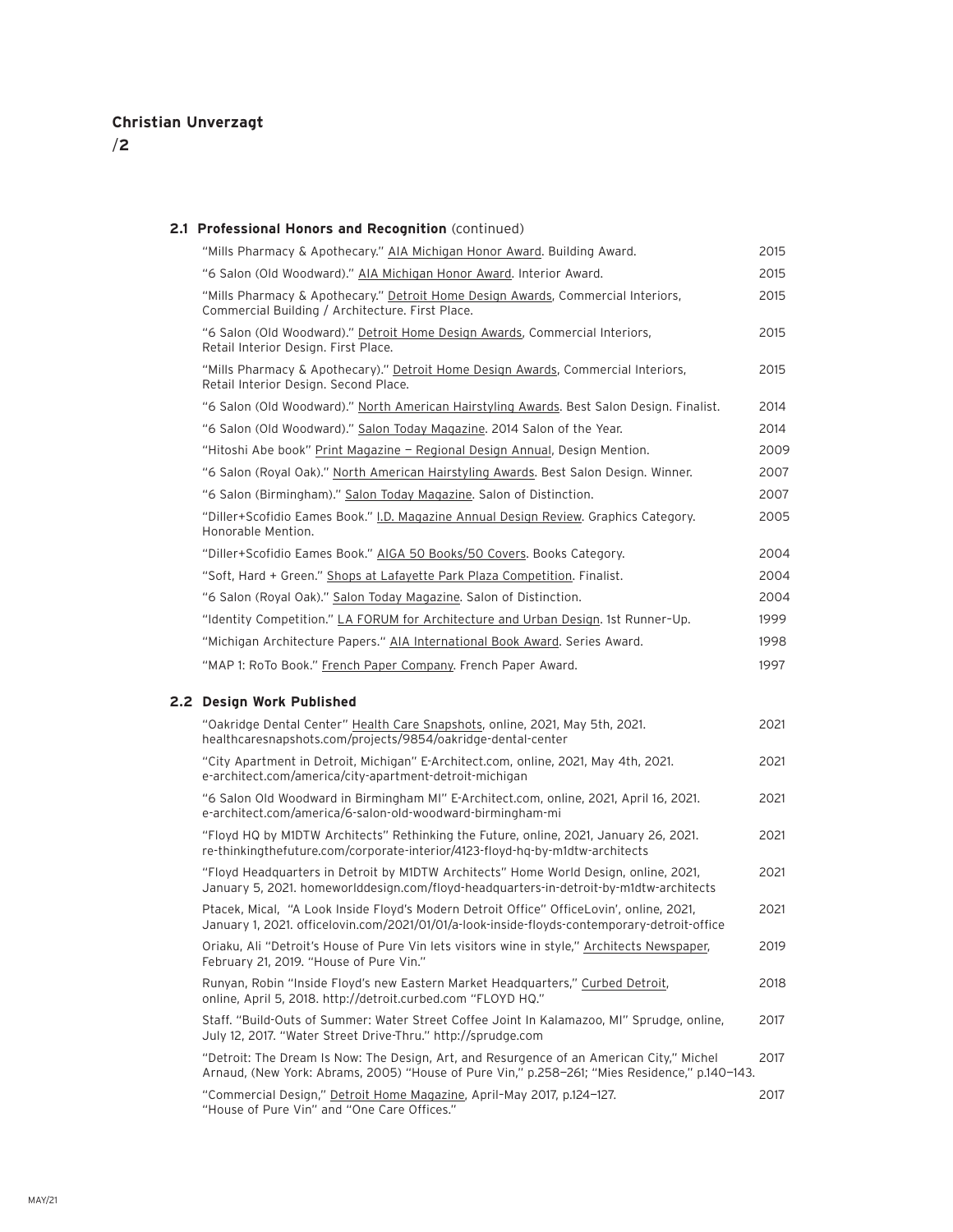/**2**

#### **2.1 Professional Honors and Recognition** (continued)

| "Mills Pharmacy & Apothecary." AIA Michigan Honor Award. Building Award.                                                                                                                  | 2015 |
|-------------------------------------------------------------------------------------------------------------------------------------------------------------------------------------------|------|
| "6 Salon (Old Woodward)." AIA Michigan Honor Award. Interior Award.                                                                                                                       | 2015 |
| "Mills Pharmacy & Apothecary." Detroit Home Design Awards, Commercial Interiors,<br>Commercial Building / Architecture. First Place.                                                      | 2015 |
| "6 Salon (Old Woodward)." Detroit Home Design Awards, Commercial Interiors,<br>Retail Interior Design. First Place.                                                                       | 2015 |
| "Mills Pharmacy & Apothecary)." Detroit Home Design Awards, Commercial Interiors,<br>Retail Interior Design. Second Place.                                                                | 2015 |
| "6 Salon (Old Woodward)." North American Hairstyling Awards. Best Salon Design. Finalist.                                                                                                 | 2014 |
| "6 Salon (Old Woodward)." Salon Today Magazine. 2014 Salon of the Year.                                                                                                                   | 2014 |
| "Hitoshi Abe book" Print Magazine - Regional Design Annual, Design Mention.                                                                                                               | 2009 |
| "6 Salon (Royal Oak)." North American Hairstyling Awards. Best Salon Design. Winner.                                                                                                      | 2007 |
| "6 Salon (Birmingham)." Salon Today Magazine. Salon of Distinction.                                                                                                                       | 2007 |
| "Diller+Scofidio Eames Book." I.D. Magazine Annual Design Review. Graphics Category.<br>Honorable Mention.                                                                                | 2005 |
| "Diller+Scofidio Eames Book." AIGA 50 Books/50 Covers. Books Category.                                                                                                                    | 2004 |
| "Soft, Hard + Green." Shops at Lafayette Park Plaza Competition. Finalist.                                                                                                                | 2004 |
| "6 Salon (Royal Oak)." Salon Today Magazine. Salon of Distinction.                                                                                                                        | 2004 |
| "Identity Competition." LA FORUM for Architecture and Urban Design. 1st Runner-Up.                                                                                                        | 1999 |
| "Michigan Architecture Papers." AIA International Book Award. Series Award.                                                                                                               | 1998 |
| "MAP 1: RoTo Book." French Paper Company. French Paper Award.                                                                                                                             | 1997 |
| 2.2 Design Work Published                                                                                                                                                                 |      |
| "Oakridge Dental Center" Health Care Snapshots, online, 2021, May 5th, 2021.<br>healthcaresnapshots.com/projects/9854/oakridge-dental-center                                              | 2021 |
| "City Apartment in Detroit, Michigan" E-Architect.com, online, 2021, May 4th, 2021.<br>e-architect.com/america/city-apartment-detroit-michigan                                            | 2021 |
| "6 Salon Old Woodward in Birmingham MI" E-Architect.com, online, 2021, April 16, 2021.<br>e-architect.com/america/6-salon-old-woodward-birmingham-mi                                      | 2021 |
| "Floyd HQ by M1DTW Architects" Rethinking the Future, online, 2021, January 26, 2021.<br>re-thinkingthefuture.com/corporate-interior/4123-floyd-hq-by-m1dtw-architects                    | 2021 |
| "Floyd Headquarters in Detroit by M1DTW Architects" Home World Design, online, 2021,<br>January 5, 2021. homeworlddesign.com/floyd-headquarters-in-detroit-by-m1dtw-architects            | 2021 |
| Ptacek, Mical, "A Look Inside Floyd's Modern Detroit Office" OfficeLovin', online, 2021,<br>January 1, 2021. officelovin.com/2021/01/01/a-look-inside-floyds-contemporary-detroit-office  | 2021 |
| Oriaku, Ali "Detroit's House of Pure Vin lets visitors wine in style," Architects Newspaper,<br>February 21, 2019. "House of Pure Vin."                                                   | 2019 |
| Runyan, Robin "Inside Floyd's new Eastern Market Headquarters," Curbed Detroit,<br>online, April 5, 2018. http://detroit.curbed.com "FLOYD HQ."                                           | 2018 |
| Staff. "Build-Outs of Summer: Water Street Coffee Joint In Kalamazoo, MI" Sprudge, online,<br>July 12, 2017. "Water Street Drive-Thru." http://sprudge.com                                | 2017 |
| "Detroit: The Dream Is Now: The Design, Art, and Resurgence of an American City," Michel<br>Arnaud, (New York: Abrams, 2005) "House of Pure Vin," p.258-261; "Mies Residence," p.140-143. | 2017 |

"Commercial Design," Detroit Home Magazine, April–May 2017, p.124—127. 2017 "House of Pure Vin" and "One Care Offices."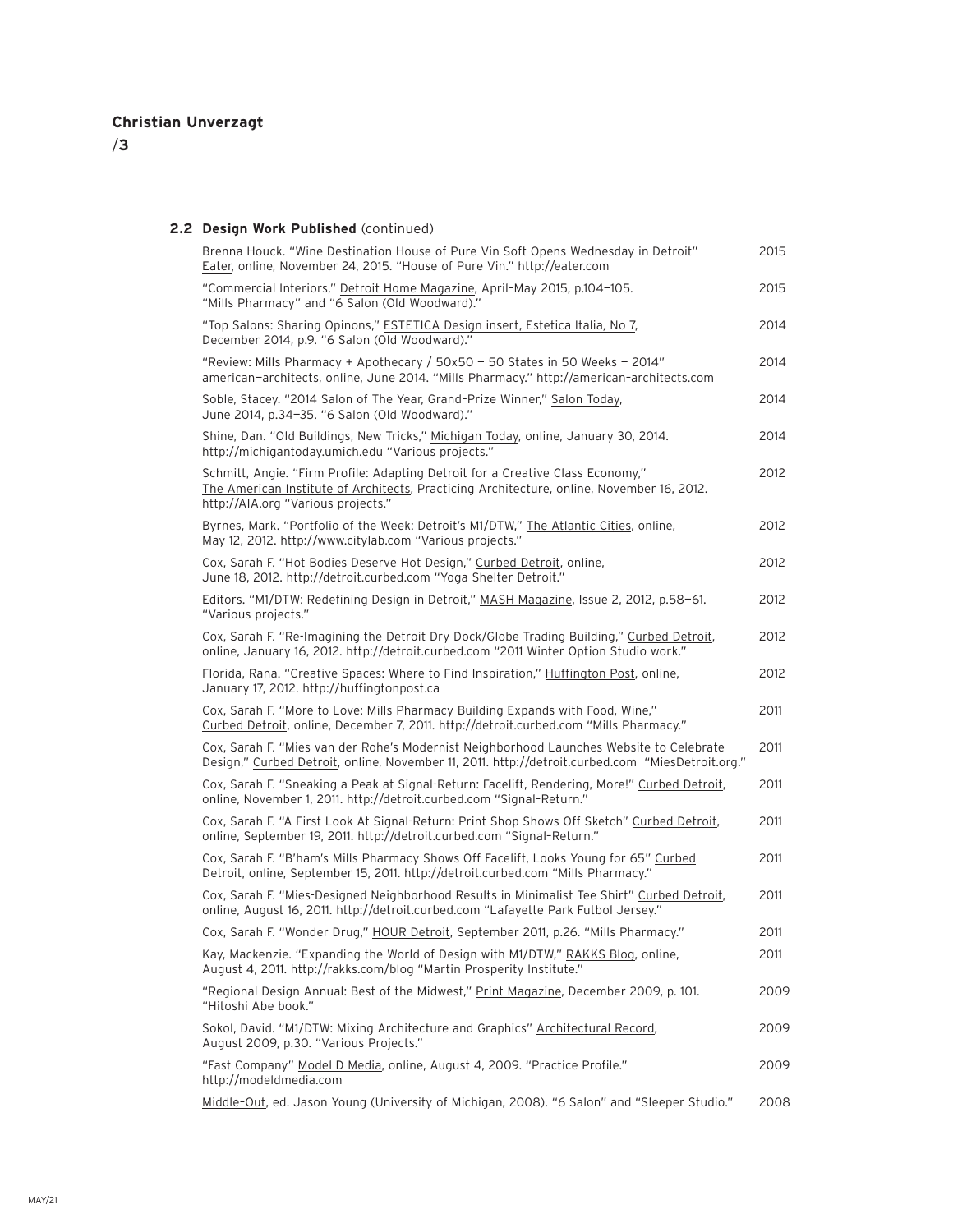/**3**

### **2.2 Design Work Published** (continued)

| Brenna Houck. "Wine Destination House of Pure Vin Soft Opens Wednesday in Detroit"<br>Eater, online, November 24, 2015. "House of Pure Vin." http://eater.com                                                     | 2015 |
|-------------------------------------------------------------------------------------------------------------------------------------------------------------------------------------------------------------------|------|
| "Commercial Interiors," Detroit Home Magazine, April-May 2015, p.104-105.<br>"Mills Pharmacy" and "6 Salon (Old Woodward)."                                                                                       | 2015 |
| "Top Salons: Sharing Opinons," ESTETICA Design insert, Estetica Italia, No 7,<br>December 2014, p.9. "6 Salon (Old Woodward)."                                                                                    | 2014 |
| "Review: Mills Pharmacy + Apothecary / 50x50 - 50 States in 50 Weeks - 2014"<br>american-architects, online, June 2014. "Mills Pharmacy." http://american-architects.com                                          | 2014 |
| Soble, Stacey. "2014 Salon of The Year, Grand-Prize Winner," Salon Today,<br>June 2014, p.34-35. "6 Salon (Old Woodward)."                                                                                        | 2014 |
| Shine, Dan. "Old Buildings, New Tricks," Michigan Today, online, January 30, 2014.<br>http://michigantoday.umich.edu "Various projects."                                                                          | 2014 |
| Schmitt, Angie. "Firm Profile: Adapting Detroit for a Creative Class Economy,"<br>The American Institute of Architects, Practicing Architecture, online, November 16, 2012.<br>http://AIA.org "Various projects." | 2012 |
| Byrnes, Mark. "Portfolio of the Week: Detroit's M1/DTW," The Atlantic Cities, online,<br>May 12, 2012. http://www.citylab.com "Various projects."                                                                 | 2012 |
| Cox, Sarah F. "Hot Bodies Deserve Hot Design," Curbed Detroit, online,<br>June 18, 2012. http://detroit.curbed.com "Yoga Shelter Detroit."                                                                        | 2012 |
| Editors. "M1/DTW: Redefining Design in Detroit," MASH Magazine, Issue 2, 2012, p.58-61.<br>"Various projects."                                                                                                    | 2012 |
| Cox, Sarah F. "Re-Imagining the Detroit Dry Dock/Globe Trading Building," Curbed Detroit,<br>online, January 16, 2012. http://detroit.curbed.com "2011 Winter Option Studio work."                                | 2012 |
| Florida, Rana. "Creative Spaces: Where to Find Inspiration," Huffington Post, online,<br>January 17, 2012. http://huffingtonpost.ca                                                                               | 2012 |
| Cox, Sarah F. "More to Love: Mills Pharmacy Building Expands with Food, Wine,"<br>Curbed Detroit, online, December 7, 2011. http://detroit.curbed.com "Mills Pharmacy."                                           | 2011 |
| Cox, Sarah F. "Mies van der Rohe's Modernist Neighborhood Launches Website to Celebrate<br>Design," Curbed Detroit, online, November 11, 2011. http://detroit.curbed.com "MiesDetroit.org."                       | 2011 |
| Cox, Sarah F. "Sneaking a Peak at Signal-Return: Facelift, Rendering, More!" Curbed Detroit,<br>online, November 1, 2011. http://detroit.curbed.com "Signal-Return."                                              | 2011 |
| Cox, Sarah F. "A First Look At Signal-Return: Print Shop Shows Off Sketch" Curbed Detroit,<br>online, September 19, 2011. http://detroit.curbed.com "Signal-Return."                                              | 2011 |
| Cox, Sarah F. "B'ham's Mills Pharmacy Shows Off Facelift, Looks Young for 65" Curbed<br>Detroit, online, September 15, 2011. http://detroit.curbed.com "Mills Pharmacy."                                          | 2011 |
| Cox, Sarah F. "Mies-Designed Neighborhood Results in Minimalist Tee Shirt" Curbed Detroit,<br>online, August 16, 2011. http://detroit.curbed.com "Lafayette Park Futbol Jersey."                                  | 2011 |
| Cox, Sarah F. "Wonder Drug," HOUR Detroit, September 2011, p.26. "Mills Pharmacy."                                                                                                                                | 2011 |
| Kay, Mackenzie. "Expanding the World of Design with M1/DTW," RAKKS Blog, online,<br>August 4, 2011. http://rakks.com/blog "Martin Prosperity Institute."                                                          | 2011 |
| "Regional Design Annual: Best of the Midwest," Print Magazine, December 2009, p. 101.<br>"Hitoshi Abe book."                                                                                                      | 2009 |
| Sokol, David. "M1/DTW: Mixing Architecture and Graphics" Architectural Record,<br>August 2009, p.30. "Various Projects."                                                                                          | 2009 |
| "Fast Company" Model D Media, online, August 4, 2009. "Practice Profile."<br>http://modeldmedia.com                                                                                                               | 2009 |
| Middle-Out, ed. Jason Young (University of Michigan, 2008). "6 Salon" and "Sleeper Studio."                                                                                                                       | 2008 |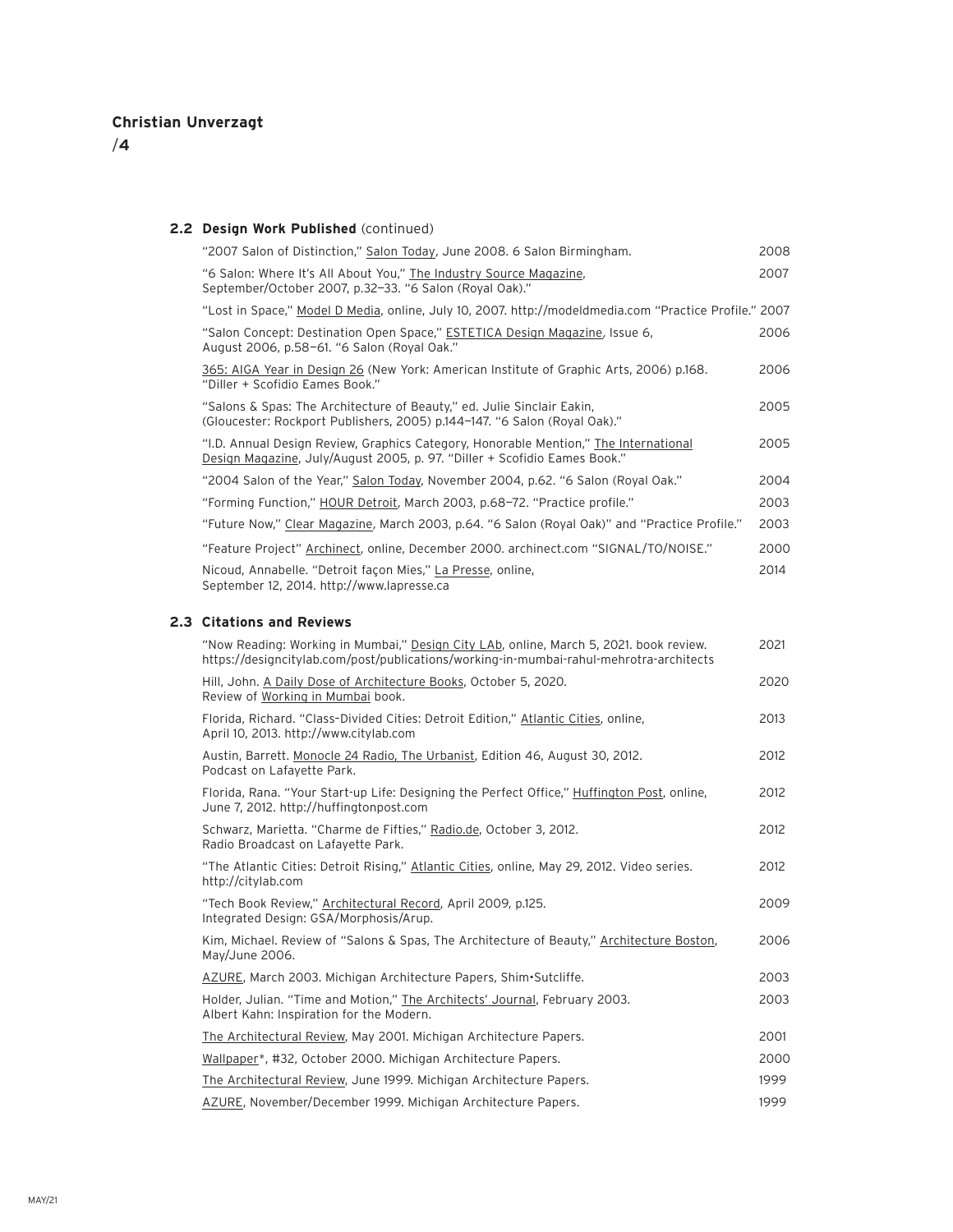**2.3 Citations and Reviews**

#### **2.2 Design Work Published** (continued)

| "2007 Salon of Distinction," Salon Today, June 2008. 6 Salon Birmingham.                                                                                          | 2008 |  |
|-------------------------------------------------------------------------------------------------------------------------------------------------------------------|------|--|
| "6 Salon: Where It's All About You," The Industry Source Magazine,<br>September/October 2007, p.32-33. "6 Salon (Royal Oak)."                                     | 2007 |  |
| "Lost in Space," Model D Media, online, July 10, 2007. http://modeldmedia.com "Practice Profile." 2007                                                            |      |  |
| "Salon Concept: Destination Open Space," ESTETICA Design Magazine, Issue 6,<br>August 2006, p.58-61. "6 Salon (Royal Oak."                                        | 2006 |  |
| 365: AIGA Year in Design 26 (New York: American Institute of Graphic Arts, 2006) p.168.<br>"Diller + Scofidio Eames Book."                                        | 2006 |  |
| "Salons & Spas: The Architecture of Beauty," ed. Julie Sinclair Eakin,<br>(Gloucester: Rockport Publishers, 2005) p.144-147. "6 Salon (Royal Oak)."               | 2005 |  |
| "I.D. Annual Design Review, Graphics Category, Honorable Mention," The International<br>Design Magazine, July/August 2005, p. 97. "Diller + Scofidio Eames Book." | 2005 |  |
| "2004 Salon of the Year," Salon Today, November 2004, p.62. "6 Salon (Royal Oak."                                                                                 | 2004 |  |
| "Forming Function," HOUR Detroit, March 2003, p.68–72. "Practice profile."                                                                                        | 2003 |  |
| "Future Now," Clear Magazine, March 2003, p.64. "6 Salon (Royal Oak)" and "Practice Profile."                                                                     | 2003 |  |
| "Feature Project" Archinect, online, December 2000. archinect.com "SIGNAL/TO/NOISE."                                                                              | 2000 |  |
| Nicoud, Annabelle. "Detroit façon Mies," La Presse, online,<br>September 12, 2014. http://www.lapresse.ca                                                         | 2014 |  |
| <b>Citations and Reviews</b>                                                                                                                                      |      |  |

### "Now Reading: Working in Mumbai," Design City LAb, online, March 5, 2021. book review. 2021 https://designcitylab.com/post/publications/working-in-mumbai-rahul-mehrotra-architects Hill, John. A Daily Dose of Architecture Books, October 5, 2020. 2020 Review of Working in Mumbai book. Florida, Richard. "Class-Divided Cities: Detroit Edition," Atlantic Cities, online, 2013 April 10, 2013. http://www.citylab.com Austin, Barrett. Monocle 24 Radio, The Urbanist, Edition 46, August 30, 2012. 2012 Podcast on Lafayette Park. Florida, Rana. "Your Start-up Life: Designing the Perfect Office," Huffington Post, online, 2012 June 7, 2012. http://huffingtonpost.com Schwarz, Marietta. "Charme de Fifties," Radio.de, October 3, 2012. 2012 Radio Broadcast on Lafayette Park. "The Atlantic Cities: Detroit Rising," Atlantic Cities, online, May 29, 2012. Video series. 2012 http://citylab.com "Tech Book Review," Architectural Record, April 2009, p.125. 2009 Integrated Design: GSA/Morphosis/Arup. Kim, Michael. Review of "Salons & Spas, The Architecture of Beauty," Architecture Boston, 2006 May/June 2006. AZURE, March 2003. Michigan Architecture Papers, Shim•Sutcliffe. 2003 Holder, Julian. "Time and Motion," The Architects' Journal, February 2003. 2003 Albert Kahn: Inspiration for the Modern. The Architectural Review, May 2001. Michigan Architecture Papers. 2001 Wallpaper\*, #32, October 2000. Michigan Architecture Papers. 2000 The Architectural Review, June 1999. Michigan Architecture Papers. 1999 1999 AZURE, November/December 1999. Michigan Architecture Papers. 1999 1999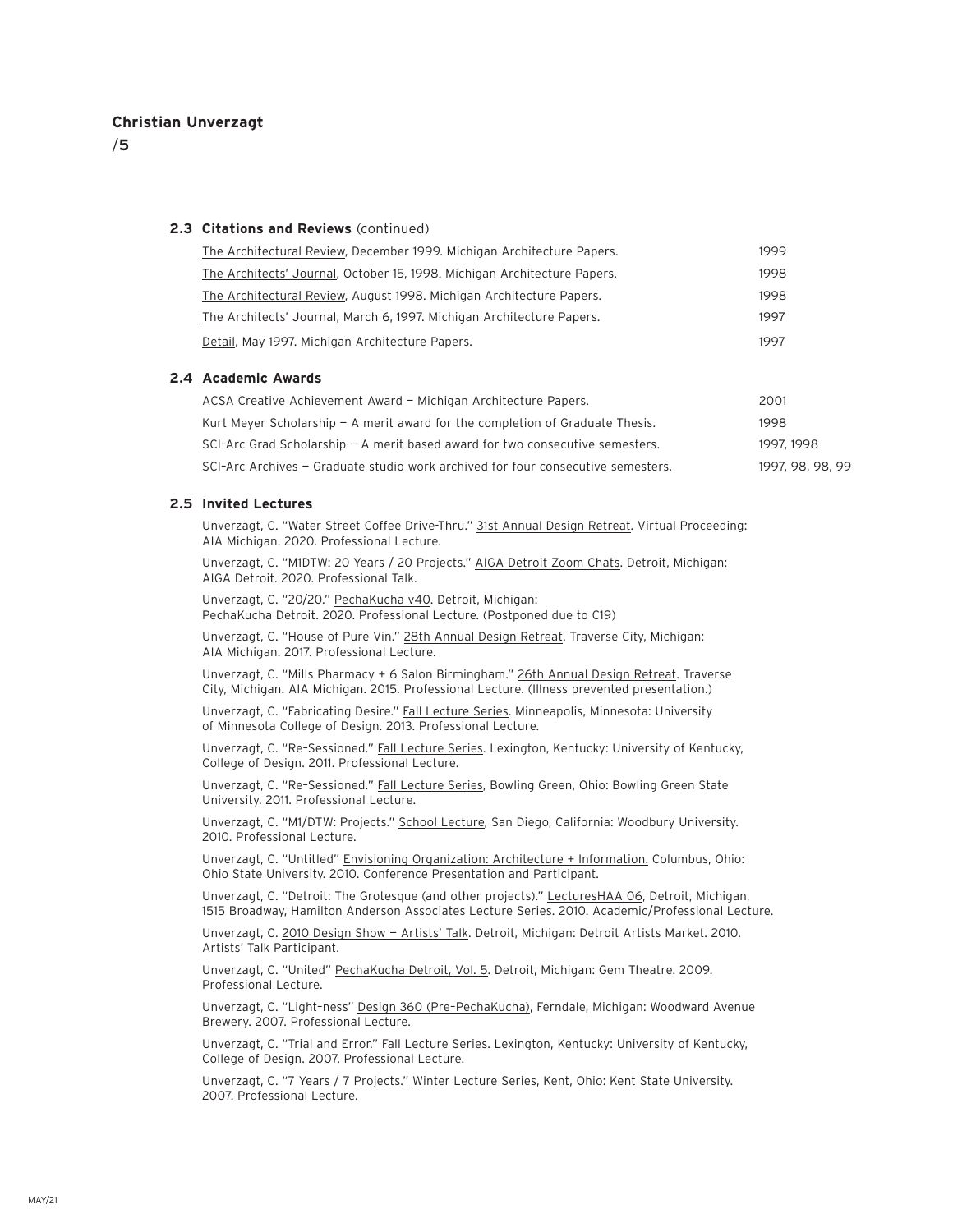/**5**

#### **2.3 Citations and Reviews** (continued)

| The Architectural Review, December 1999. Michigan Architecture Papers.   | 1999 |
|--------------------------------------------------------------------------|------|
| The Architects' Journal, October 15, 1998. Michigan Architecture Papers. | 1998 |
| The Architectural Review, August 1998. Michigan Architecture Papers.     | 1998 |
| The Architects' Journal, March 6, 1997. Michigan Architecture Papers.    | 1997 |
| Detail, May 1997. Michigan Architecture Papers.                          |      |
|                                                                          |      |

#### **2.4 Academic Awards**

| ACSA Creative Achievement Award - Michigan Architecture Papers.                  | 2001             |
|----------------------------------------------------------------------------------|------------------|
| Kurt Meyer Scholarship $-$ A merit award for the completion of Graduate Thesis.  | 1998             |
| SCI-Arc Grad Scholarship $-$ A merit based award for two consecutive semesters.  | 1997, 1998       |
| SCI-Arc Archives - Graduate studio work archived for four consecutive semesters. | 1997, 98, 98, 99 |

#### **2.5 Invited Lectures**

Unverzagt, C. "Water Street Coffee Drive-Thru." 31st Annual Design Retreat. Virtual Proceeding: AIA Michigan. 2020. Professional Lecture.

Unverzagt, C. "M1DTW: 20 Years / 20 Projects." AIGA Detroit Zoom Chats. Detroit, Michigan: AIGA Detroit. 2020. Professional Talk.

Unverzagt, C. "20/20." PechaKucha v40. Detroit, Michigan: PechaKucha Detroit. 2020. Professional Lecture. (Postponed due to C19)

Unverzagt, C. "House of Pure Vin." 28th Annual Design Retreat. Traverse City, Michigan: AIA Michigan. 2017. Professional Lecture.

Unverzagt, C. "Mills Pharmacy + 6 Salon Birmingham." 26th Annual Design Retreat. Traverse City, Michigan. AIA Michigan. 2015. Professional Lecture. (Illness prevented presentation.)

Unverzagt, C. "Fabricating Desire." Fall Lecture Series. Minneapolis, Minnesota: University of Minnesota College of Design. 2013. Professional Lecture.

Unverzagt, C. "Re–Sessioned." Fall Lecture Series. Lexington, Kentucky: University of Kentucky, College of Design. 2011. Professional Lecture.

Unverzagt, C. "Re–Sessioned." Fall Lecture Series, Bowling Green, Ohio: Bowling Green State University. 2011. Professional Lecture.

Unverzagt, C. "M1/DTW: Projects." School Lecture, San Diego, California: Woodbury University. 2010. Professional Lecture.

Unverzagt, C. "Untitled" Envisioning Organization: Architecture + Information. Columbus, Ohio: Ohio State University. 2010. Conference Presentation and Participant.

Unverzagt, C. "Detroit: The Grotesque (and other projects)." LecturesHAA 06, Detroit, Michigan, 1515 Broadway, Hamilton Anderson Associates Lecture Series. 2010. Academic/Professional Lecture.

Unverzagt, C. 2010 Design Show — Artists' Talk. Detroit, Michigan: Detroit Artists Market. 2010. Artists' Talk Participant.

Unverzagt, C. "United" PechaKucha Detroit, Vol. 5. Detroit, Michigan: Gem Theatre. 2009. Professional Lecture.

Unverzagt, C. "Light–ness" Design 360 (Pre–PechaKucha), Ferndale, Michigan: Woodward Avenue Brewery. 2007. Professional Lecture.

Unverzagt, C. "Trial and Error." Fall Lecture Series. Lexington, Kentucky: University of Kentucky, College of Design. 2007. Professional Lecture.

Unverzagt, C. "7 Years / 7 Projects." Winter Lecture Series, Kent, Ohio: Kent State University. 2007. Professional Lecture.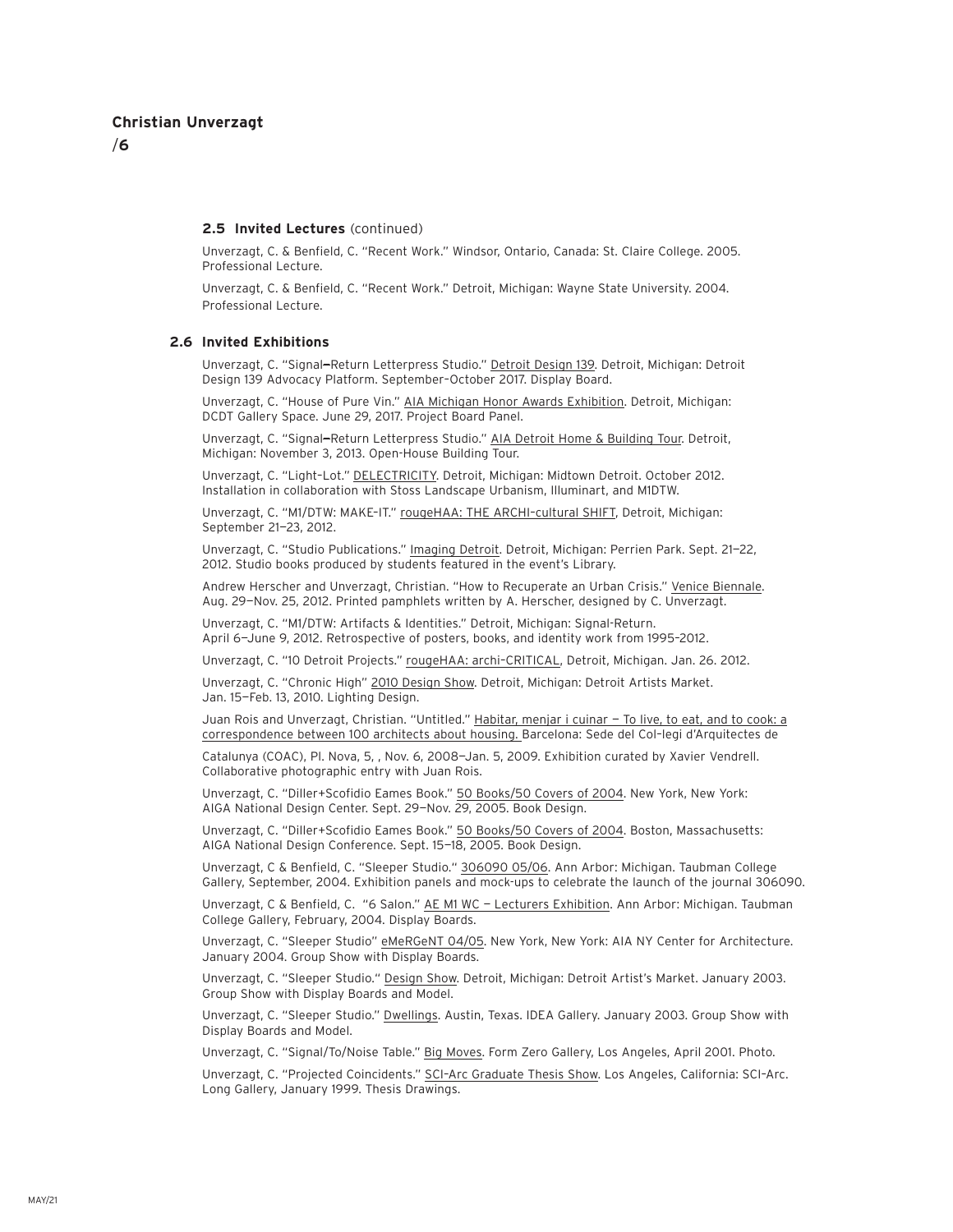/**6**

#### **2.5 Invited Lectures** (continued)

Unverzagt, C. & Benfield, C. "Recent Work." Windsor, Ontario, Canada: St. Claire College. 2005. Professional Lecture.

Unverzagt, C. & Benfield, C. "Recent Work." Detroit, Michigan: Wayne State University. 2004. Professional Lecture.

#### **2.6 Invited Exhibitions**

Unverzagt, C. "Signal-Return Letterpress Studio." Detroit Design 139. Detroit, Michigan: Detroit Design 139 Advocacy Platform. September–October 2017. Display Board.

Unverzagt, C. "House of Pure Vin." AIA Michigan Honor Awards Exhibition. Detroit, Michigan: DCDT Gallery Space. June 29, 2017. Project Board Panel.

Unverzagt, C. "Signal—Return Letterpress Studio." AIA Detroit Home & Building Tour. Detroit, Michigan: November 3, 2013. Open-House Building Tour.

Unverzagt, C. "Light–Lot." DELECTRICITY. Detroit, Michigan: Midtown Detroit. October 2012. Installation in collaboration with Stoss Landscape Urbanism, Illuminart, and M1DTW.

Unverzagt, C. "M1/DTW: MAKE–IT." rougeHAA: THE ARCHI–cultural SHIFT, Detroit, Michigan: September 21—23, 2012.

Unverzagt, C. "Studio Publications." Imaging Detroit. Detroit, Michigan: Perrien Park. Sept. 21—22, 2012. Studio books produced by students featured in the event's Library.

Andrew Herscher and Unverzagt, Christian. "How to Recuperate an Urban Crisis." Venice Biennale. Aug. 29—Nov. 25, 2012. Printed pamphlets written by A. Herscher, designed by C. Unverzagt.

Unverzagt, C. "M1/DTW: Artifacts & Identities." Detroit, Michigan: Signal-Return. April 6—June 9, 2012. Retrospective of posters, books, and identity work from 1995–2012.

Unverzagt, C. "10 Detroit Projects." rougeHAA: archi–CRITICAL, Detroit, Michigan. Jan. 26. 2012.

Unverzagt, C. "Chronic High" 2010 Design Show. Detroit, Michigan: Detroit Artists Market. Jan. 15—Feb. 13, 2010. Lighting Design.

Juan Rois and Unverzagt, Christian. "Untitled." Habitar, menjar i cuinar - To live, to eat, and to cook: a correspondence between 100 architects about housing. Barcelona: Sede del Col–legi d'Arquitectes de

Catalunya (COAC), Pl. Nova, 5, , Nov. 6, 2008—Jan. 5, 2009. Exhibition curated by Xavier Vendrell. Collaborative photographic entry with Juan Rois.

Unverzagt, C. "Diller+Scofidio Eames Book." 50 Books/50 Covers of 2004. New York, New York: AIGA National Design Center. Sept. 29—Nov. 29, 2005. Book Design.

Unverzagt, C. "Diller+Scofidio Eames Book." 50 Books/50 Covers of 2004. Boston, Massachusetts: AIGA National Design Conference. Sept. 15—18, 2005. Book Design.

Unverzagt, C & Benfield, C. "Sleeper Studio." 306090 05/06. Ann Arbor: Michigan. Taubman College Gallery, September, 2004. Exhibition panels and mock-ups to celebrate the launch of the journal 306090.

Unverzagt, C & Benfield, C. "6 Salon." AE M1 WC — Lecturers Exhibition. Ann Arbor: Michigan. Taubman College Gallery, February, 2004. Display Boards.

Unverzagt, C. "Sleeper Studio" eMeRGeNT 04/05. New York, New York: AIA NY Center for Architecture. January 2004. Group Show with Display Boards.

Unverzagt, C. "Sleeper Studio." Design Show. Detroit, Michigan: Detroit Artist's Market. January 2003. Group Show with Display Boards and Model.

Unverzagt, C. "Sleeper Studio." Dwellings. Austin, Texas. IDEA Gallery. January 2003. Group Show with Display Boards and Model.

Unverzagt, C. "Signal/To/Noise Table." Big Moves. Form Zero Gallery, Los Angeles, April 2001. Photo.

Unverzagt, C. "Projected Coincidents." SCI–Arc Graduate Thesis Show. Los Angeles, California: SCI–Arc. Long Gallery, January 1999. Thesis Drawings.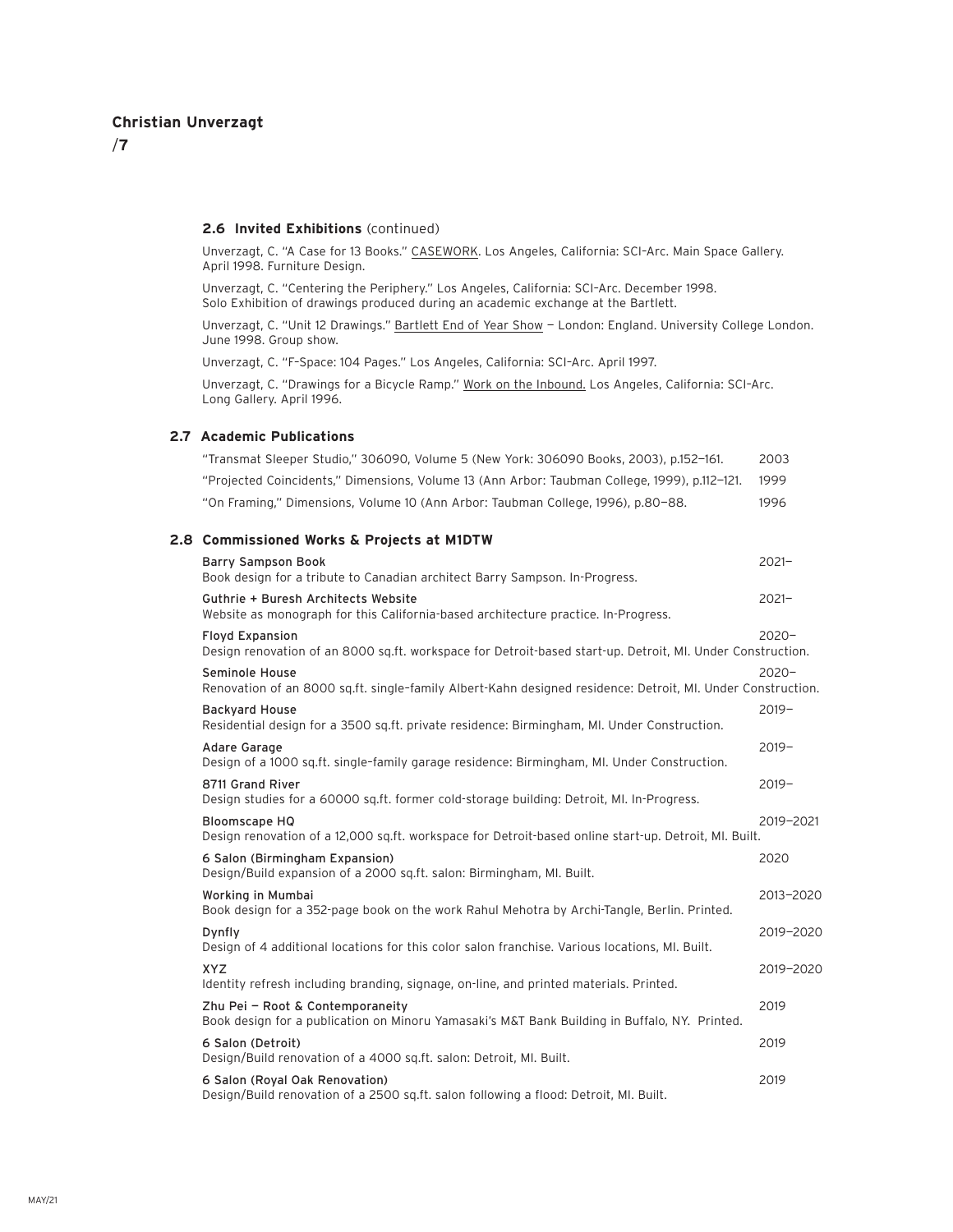/**7**

#### **2.6 Invited Exhibitions** (continued)

Unverzagt, C. "A Case for 13 Books." CASEWORK. Los Angeles, California: SCI–Arc. Main Space Gallery. April 1998. Furniture Design.

Unverzagt, C. "Centering the Periphery." Los Angeles, California: SCI–Arc. December 1998. Solo Exhibition of drawings produced during an academic exchange at the Bartlett.

Unverzagt, C. "Unit 12 Drawings." Bartlett End of Year Show - London: England. University College London. June 1998. Group show.

Unverzagt, C. "F–Space: 104 Pages." Los Angeles, California: SCI–Arc. April 1997.

Unverzagt, C. "Drawings for a Bicycle Ramp." Work on the Inbound. Los Angeles, California: SCI–Arc. Long Gallery. April 1996.

#### **2.7 Academic Publications**

| "Transmat Sleeper Studio." 306090. Volume 5 (New York: 306090 Books. 2003). p.152-161.        | 2003 |
|-----------------------------------------------------------------------------------------------|------|
| "Projected Coincidents," Dimensions, Volume 13 (Ann Arbor: Taubman College, 1999), p.112-121. | 1999 |
| "On Framing." Dimensions, Volume 10 (Ann Arbor: Taubman College, 1996), p.80–88.              | 1996 |

### **2.8 Commissioned Works & Projects at M1DTW**

| Barry Sampson Book<br>Book design for a tribute to Canadian architect Barry Sampson. In-Progress.                                    | $2021 -$  |
|--------------------------------------------------------------------------------------------------------------------------------------|-----------|
| Guthrie + Buresh Architects Website<br>Website as monograph for this California-based architecture practice. In-Progress.            | $2021 -$  |
| <b>Floyd Expansion</b><br>Design renovation of an 8000 sq.ft. workspace for Detroit-based start-up. Detroit, MI. Under Construction. | $2020 -$  |
| Seminole House<br>Renovation of an 8000 sq.ft. single-family Albert-Kahn designed residence: Detroit, MI. Under Construction.        | $2020 -$  |
| <b>Backyard House</b><br>Residential design for a 3500 sq.ft. private residence: Birmingham, MI. Under Construction.                 | $2019 -$  |
| Adare Garage<br>Design of a 1000 sq.ft. single-family garage residence: Birmingham, MI. Under Construction.                          | $2019 -$  |
| 8711 Grand River<br>Design studies for a 60000 sq.ft. former cold-storage building: Detroit, MI. In-Progress.                        | $2019 -$  |
| <b>Bloomscape HQ</b><br>Design renovation of a 12,000 sq.ft. workspace for Detroit-based online start-up. Detroit, MI. Built.        | 2019-2021 |
| 6 Salon (Birmingham Expansion)<br>Design/Build expansion of a 2000 sq.ft. salon: Birmingham, MI. Built.                              | 2020      |
| Working in Mumbai<br>Book design for a 352-page book on the work Rahul Mehotra by Archi-Tangle, Berlin. Printed.                     | 2013-2020 |
| Dynfly<br>Design of 4 additional locations for this color salon franchise. Various locations, MI. Built.                             | 2019-2020 |
| <b>XYZ</b><br>Identity refresh including branding, signage, on-line, and printed materials. Printed.                                 | 2019-2020 |
| Zhu Pei - Root & Contemporaneity<br>Book design for a publication on Minoru Yamasaki's M&T Bank Building in Buffalo, NY. Printed.    | 2019      |
| 6 Salon (Detroit)<br>Design/Build renovation of a 4000 sq.ft. salon: Detroit, MI. Built.                                             | 2019      |
| 6 Salon (Royal Oak Renovation)<br>Design/Build renovation of a 2500 sq.ft. salon following a flood: Detroit, MI. Built.              | 2019      |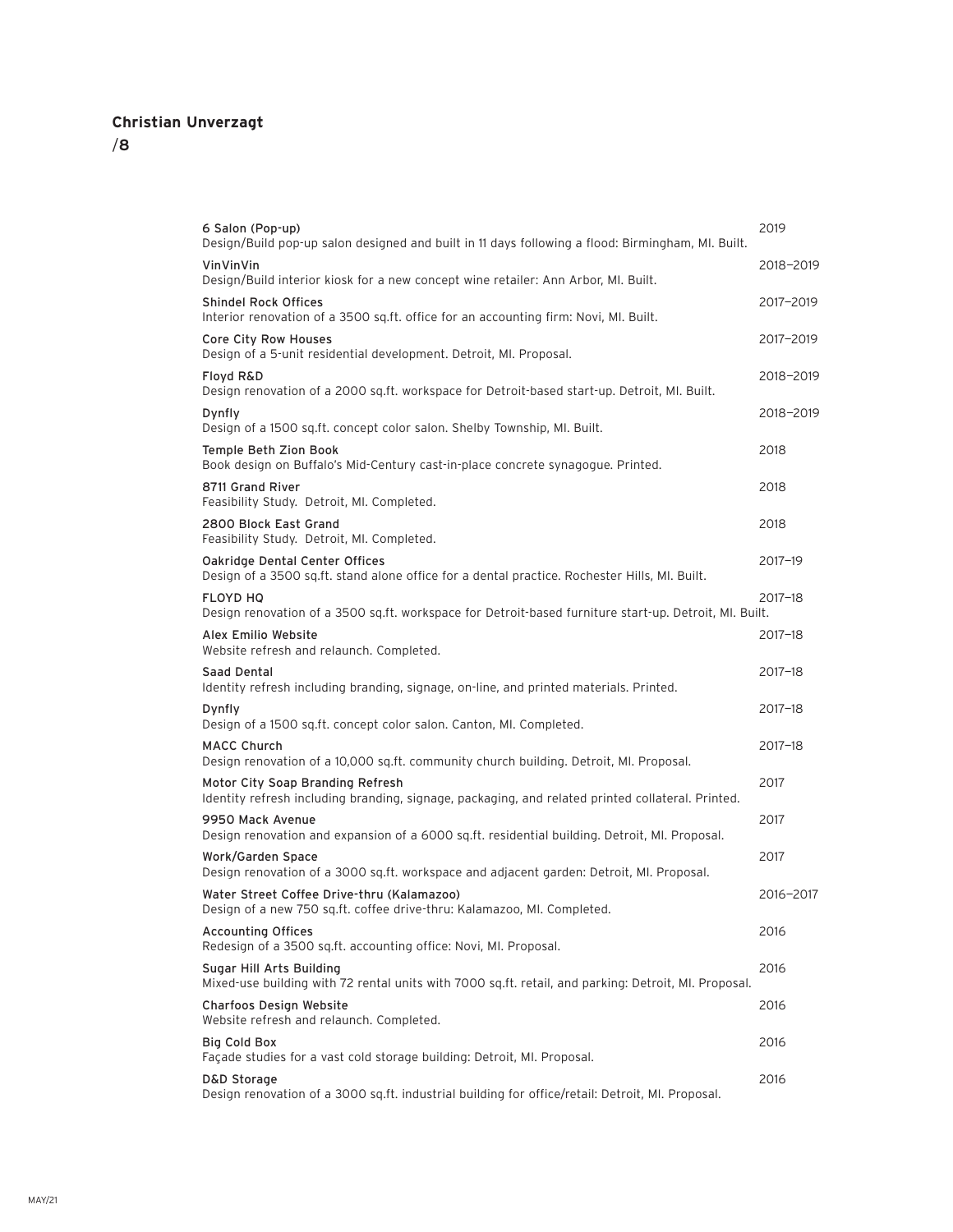| 6 Salon (Pop-up)<br>Design/Build pop-up salon designed and built in 11 days following a flood: Birmingham, MI. Built.                 | 2019        |
|---------------------------------------------------------------------------------------------------------------------------------------|-------------|
| VinVinVin<br>Design/Build interior kiosk for a new concept wine retailer: Ann Arbor, MI. Built.                                       | 2018-2019   |
| <b>Shindel Rock Offices</b><br>Interior renovation of a 3500 sq.ft. office for an accounting firm: Novi, MI. Built.                   | 2017-2019   |
| Core City Row Houses<br>Design of a 5-unit residential development. Detroit, MI. Proposal.                                            | 2017-2019   |
| <b>Floyd R&amp;D</b><br>Design renovation of a 2000 sq.ft. workspace for Detroit-based start-up. Detroit, MI. Built.                  | 2018-2019   |
| Dynfly<br>Design of a 1500 sq.ft. concept color salon. Shelby Township, MI. Built.                                                    | 2018-2019   |
| Temple Beth Zion Book<br>Book design on Buffalo's Mid-Century cast-in-place concrete synagogue. Printed.                              | 2018        |
| 8711 Grand River<br>Feasibility Study. Detroit, MI. Completed.                                                                        | 2018        |
| 2800 Block East Grand<br>Feasibility Study. Detroit, MI. Completed.                                                                   | 2018        |
| Oakridge Dental Center Offices<br>Design of a 3500 sq.ft. stand alone office for a dental practice. Rochester Hills, MI. Built.       | 2017-19     |
| <b>FLOYD HQ</b><br>Design renovation of a 3500 sq.ft. workspace for Detroit-based furniture start-up. Detroit, MI. Built.             | 2017-18     |
| Alex Emilio Website<br>Website refresh and relaunch. Completed.                                                                       | 2017-18     |
| Saad Dental<br>Identity refresh including branding, signage, on-line, and printed materials. Printed.                                 | 2017-18     |
| Dynfly<br>Design of a 1500 sq.ft. concept color salon. Canton, MI. Completed.                                                         | $2017 - 18$ |
| <b>MACC Church</b><br>Design renovation of a 10,000 sq.ft. community church building. Detroit, MI. Proposal.                          | $2017 - 18$ |
| Motor City Soap Branding Refresh<br>Identity refresh including branding, signage, packaging, and related printed collateral. Printed. | 2017        |
| 9950 Mack Avenue<br>Design renovation and expansion of a 6000 sq.ft. residential building. Detroit, MI. Proposal.                     | 2017        |
| Work/Garden Space<br>Design renovation of a 3000 sq.ft. workspace and adjacent garden: Detroit, MI. Proposal.                         | 2017        |
| Water Street Coffee Drive-thru (Kalamazoo)<br>Design of a new 750 sq.ft. coffee drive-thru: Kalamazoo, MI. Completed.                 | 2016-2017   |
| <b>Accounting Offices</b><br>Redesign of a 3500 sq.ft. accounting office: Novi, MI. Proposal.                                         | 2016        |
| Sugar Hill Arts Building<br>Mixed-use building with 72 rental units with 7000 sq.ft. retail, and parking: Detroit, MI. Proposal.      | 2016        |
| Charfoos Design Website<br>Website refresh and relaunch. Completed.                                                                   | 2016        |
| Big Cold Box<br>Façade studies for a vast cold storage building: Detroit, MI. Proposal.                                               | 2016        |
| D&D Storage<br>Design renovation of a 3000 sq.ft. industrial building for office/retail: Detroit, MI. Proposal.                       | 2016        |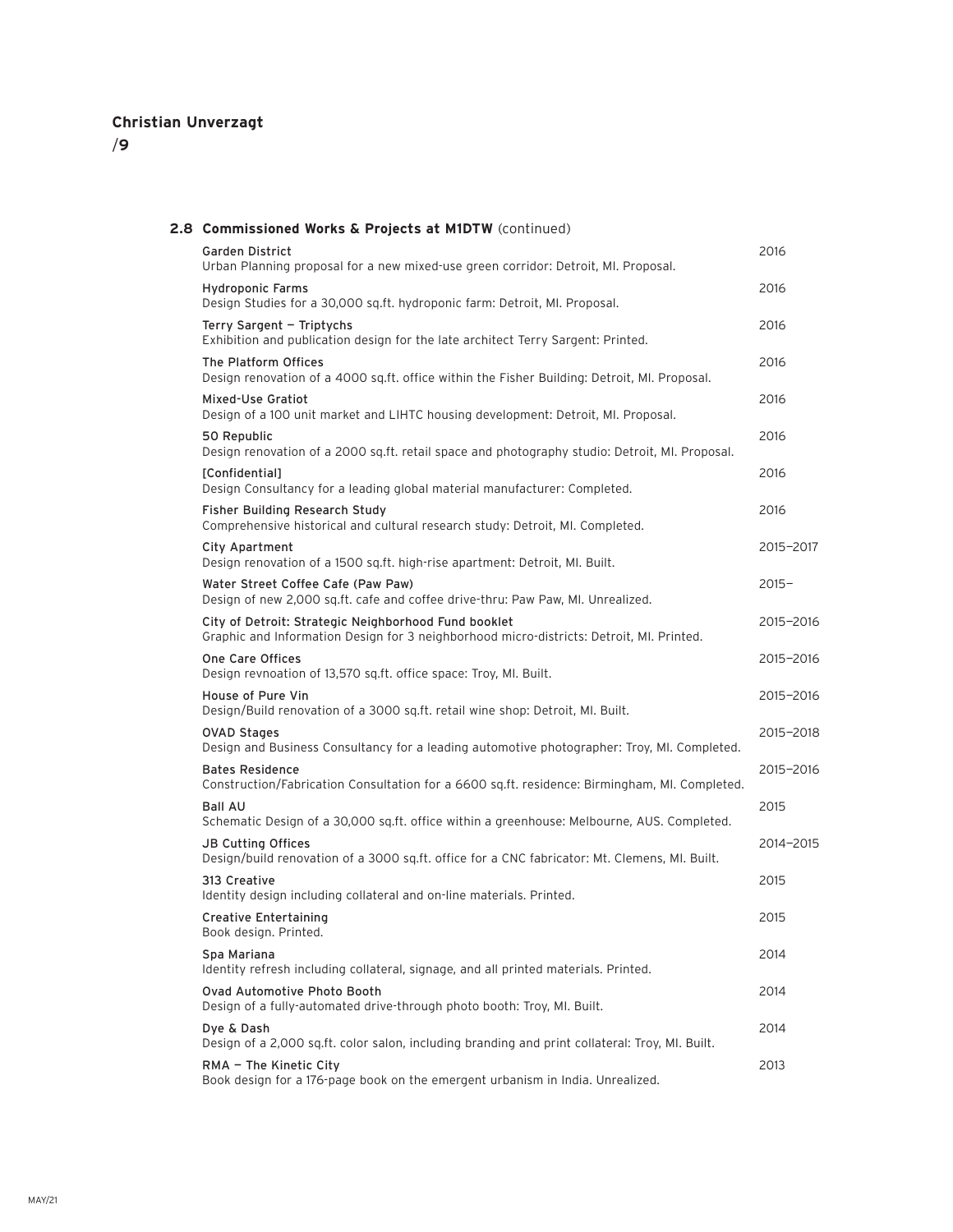| 2.8 Commissioned Works & Projects at M1DTW (continued)                                                                                           |           |
|--------------------------------------------------------------------------------------------------------------------------------------------------|-----------|
| Garden District<br>Urban Planning proposal for a new mixed-use green corridor: Detroit, MI. Proposal.                                            | 2016      |
| Hydroponic Farms<br>Design Studies for a 30,000 sq.ft. hydroponic farm: Detroit, MI. Proposal.                                                   | 2016      |
| Terry Sargent - Triptychs<br>Exhibition and publication design for the late architect Terry Sargent: Printed.                                    | 2016      |
| The Platform Offices<br>Design renovation of a 4000 sq.ft. office within the Fisher Building: Detroit, MI. Proposal.                             | 2016      |
| Mixed-Use Gratiot<br>Design of a 100 unit market and LIHTC housing development: Detroit, MI. Proposal.                                           | 2016      |
| 50 Republic<br>Design renovation of a 2000 sq.ft. retail space and photography studio: Detroit, MI. Proposal.                                    | 2016      |
| [Confidential]<br>Design Consultancy for a leading global material manufacturer: Completed.                                                      | 2016      |
| Fisher Building Research Study<br>Comprehensive historical and cultural research study: Detroit, MI. Completed.                                  | 2016      |
| City Apartment<br>Design renovation of a 1500 sg.ft. high-rise apartment: Detroit, MI. Built.                                                    | 2015-2017 |
| Water Street Coffee Cafe (Paw Paw)<br>Design of new 2,000 sq.ft. cafe and coffee drive-thru: Paw Paw, MI. Unrealized.                            | $2015 -$  |
| City of Detroit: Strategic Neighborhood Fund booklet<br>Graphic and Information Design for 3 neighborhood micro-districts: Detroit, MI. Printed. | 2015-2016 |
| One Care Offices<br>Design revnoation of 13,570 sq.ft. office space: Troy, MI. Built.                                                            | 2015-2016 |
| House of Pure Vin<br>Design/Build renovation of a 3000 sq.ft. retail wine shop: Detroit, MI. Built.                                              | 2015-2016 |
| <b>OVAD Stages</b><br>Design and Business Consultancy for a leading automotive photographer: Troy, MI. Completed.                                | 2015-2018 |
| <b>Bates Residence</b><br>Construction/Fabrication Consultation for a 6600 sq.ft. residence: Birmingham, MI. Completed.                          | 2015-2016 |
| <b>Ball AU</b><br>Schematic Design of a 30,000 sq.ft. office within a greenhouse: Melbourne, AUS. Completed.                                     | 2015      |
| <b>JB Cutting Offices</b><br>Design/build renovation of a 3000 sq.ft. office for a CNC fabricator: Mt. Clemens, MI. Built.                       | 2014-2015 |
| 313 Creative<br>Identity design including collateral and on-line materials. Printed.                                                             | 2015      |
| <b>Creative Entertaining</b><br>Book design. Printed.                                                                                            | 2015      |
| Spa Mariana<br>Identity refresh including collateral, signage, and all printed materials. Printed.                                               | 2014      |
| Ovad Automotive Photo Booth<br>Design of a fully-automated drive-through photo booth: Troy, MI. Built.                                           | 2014      |
| Dye & Dash<br>Design of a 2,000 sq.ft. color salon, including branding and print collateral: Troy, MI. Built.                                    | 2014      |
| RMA - The Kinetic City<br>Book design for a 176-page book on the emergent urbanism in India. Unrealized.                                         | 2013      |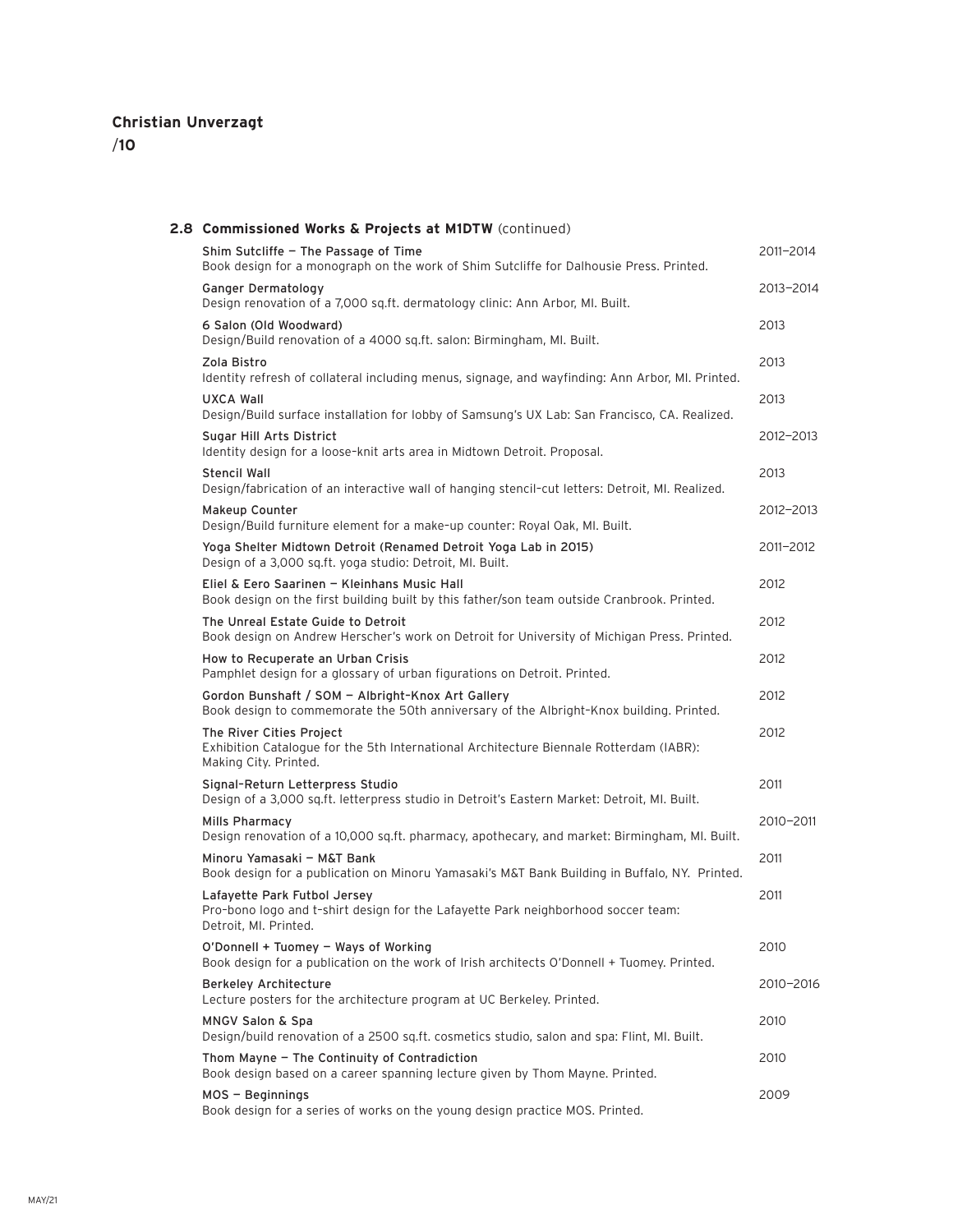| 2.8 Commissioned Works & Projects at M1DTW (continued)                                                                                       |           |
|----------------------------------------------------------------------------------------------------------------------------------------------|-----------|
| Shim Sutcliffe - The Passage of Time<br>Book design for a monograph on the work of Shim Sutcliffe for Dalhousie Press. Printed.              | 2011-2014 |
| Ganger Dermatology<br>Design renovation of a 7,000 sq.ft. dermatology clinic: Ann Arbor, MI. Built.                                          | 2013-2014 |
| 6 Salon (Old Woodward)<br>Design/Build renovation of a 4000 sq.ft. salon: Birmingham, MI. Built.                                             | 2013      |
| Zola Bistro<br>Identity refresh of collateral including menus, signage, and wayfinding: Ann Arbor, MI. Printed.                              | 2013      |
| <b>UXCA Wall</b><br>Design/Build surface installation for lobby of Samsung's UX Lab: San Francisco, CA. Realized.                            | 2013      |
| Sugar Hill Arts District<br>Identity design for a loose-knit arts area in Midtown Detroit. Proposal.                                         | 2012-2013 |
| Stencil Wall<br>Design/fabrication of an interactive wall of hanging stencil-cut letters: Detroit, MI. Realized.                             | 2013      |
| Makeup Counter<br>Design/Build furniture element for a make-up counter: Royal Oak, MI. Built.                                                | 2012-2013 |
| Yoga Shelter Midtown Detroit (Renamed Detroit Yoga Lab in 2015)<br>Design of a 3,000 sq.ft. yoga studio: Detroit, MI. Built.                 | 2011-2012 |
| Eliel & Eero Saarinen - Kleinhans Music Hall<br>Book design on the first building built by this father/son team outside Cranbrook. Printed.  | 2012      |
| The Unreal Estate Guide to Detroit<br>Book design on Andrew Herscher's work on Detroit for University of Michigan Press. Printed.            | 2012      |
| How to Recuperate an Urban Crisis<br>Pamphlet design for a glossary of urban figurations on Detroit. Printed.                                | 2012      |
| Gordon Bunshaft / SOM - Albright-Knox Art Gallery<br>Book design to commemorate the 50th anniversary of the Albright-Knox building. Printed. | 2012      |
| The River Cities Project<br>Exhibition Catalogue for the 5th International Architecture Biennale Rotterdam (IABR):<br>Making City. Printed.  | 2012      |
| Signal-Return Letterpress Studio<br>Design of a 3,000 sq.ft. letterpress studio in Detroit's Eastern Market: Detroit, MI. Built.             | 2011      |
| Mills Pharmacy<br>Design renovation of a 10,000 sq.ft. pharmacy, apothecary, and market: Birmingham, MI. Built.                              | 2010-2011 |
| Minoru Yamasaki - M&T Bank<br>Book design for a publication on Minoru Yamasaki's M&T Bank Building in Buffalo, NY. Printed.                  | 2011      |
| Lafayette Park Futbol Jersey<br>Pro-bono logo and t-shirt design for the Lafayette Park neighborhood soccer team:<br>Detroit, MI. Printed.   | 2011      |
| O'Donnell + Tuomey - Ways of Working<br>Book design for a publication on the work of Irish architects O'Donnell + Tuomey. Printed.           | 2010      |
| <b>Berkeley Architecture</b><br>Lecture posters for the architecture program at UC Berkeley. Printed.                                        | 2010-2016 |
| <b>MNGV Salon &amp; Spa</b><br>Design/build renovation of a 2500 sq.ft. cosmetics studio, salon and spa: Flint, MI. Built.                   | 2010      |
| Thom Mayne - The Continuity of Contradiction<br>Book design based on a career spanning lecture given by Thom Mayne. Printed.                 | 2010      |
| $MOS - Beginning$<br>Book design for a series of works on the young design practice MOS. Printed.                                            | 2009      |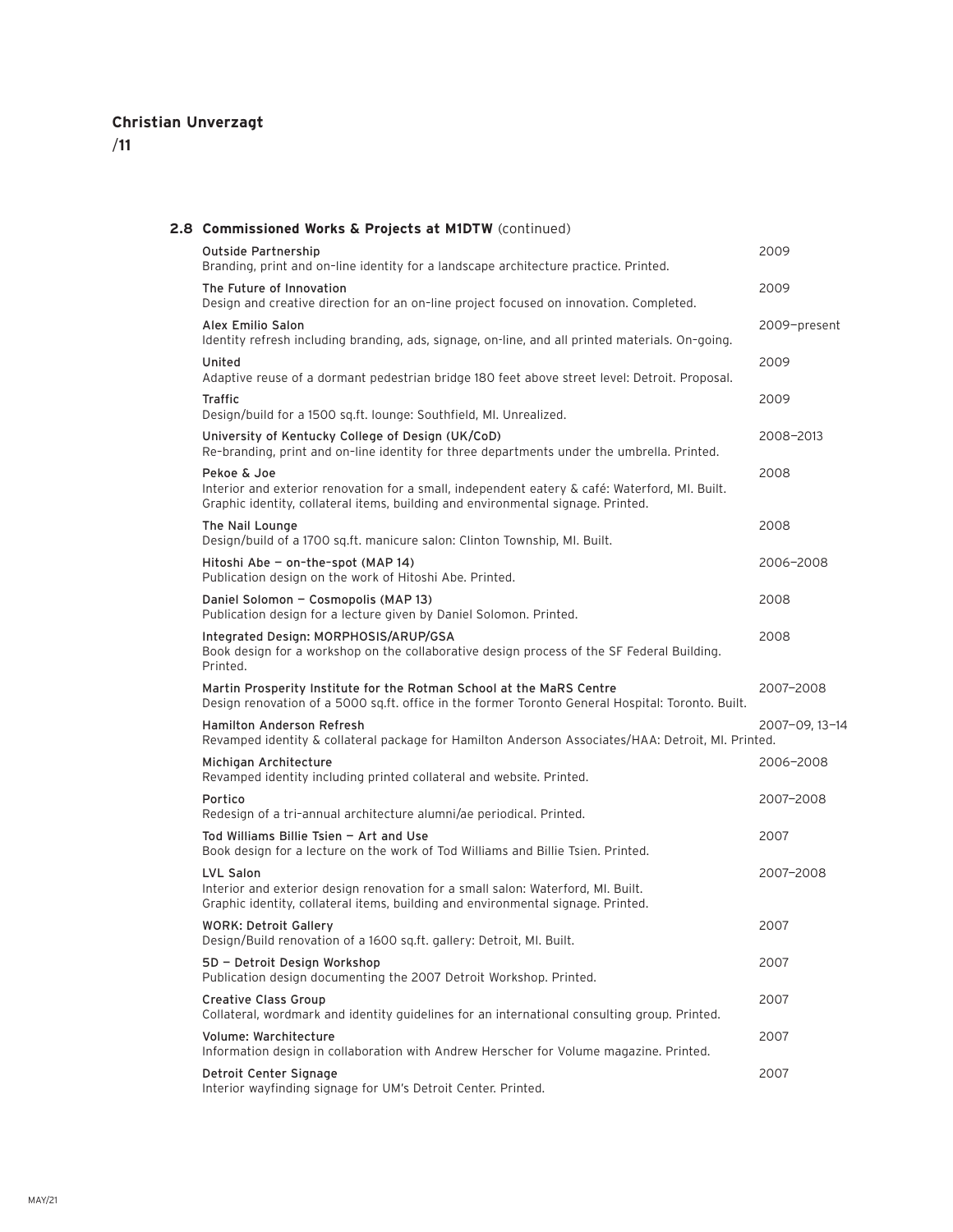| 2.8 Commissioned Works & Projects at M1DTW (continued)                                                                                                                                            |                |
|---------------------------------------------------------------------------------------------------------------------------------------------------------------------------------------------------|----------------|
| <b>Outside Partnership</b><br>Branding, print and on-line identity for a landscape architecture practice. Printed.                                                                                | 2009           |
| The Future of Innovation<br>Design and creative direction for an on-line project focused on innovation. Completed.                                                                                | 2009           |
| Alex Emilio Salon<br>Identity refresh including branding, ads, signage, on-line, and all printed materials. On-going.                                                                             | 2009-present   |
| United<br>Adaptive reuse of a dormant pedestrian bridge 180 feet above street level: Detroit. Proposal.                                                                                           | 2009           |
| <b>Traffic</b><br>Design/build for a 1500 sq.ft. lounge: Southfield, MI. Unrealized.                                                                                                              | 2009           |
| University of Kentucky College of Design (UK/CoD)<br>Re-branding, print and on-line identity for three departments under the umbrella. Printed.                                                   | 2008-2013      |
| Pekoe & Joe<br>Interior and exterior renovation for a small, independent eatery & café: Waterford, MI. Built.<br>Graphic identity, collateral items, building and environmental signage. Printed. | 2008           |
| The Nail Lounge<br>Design/build of a 1700 sq.ft. manicure salon: Clinton Township, MI. Built.                                                                                                     | 2008           |
| Hitoshi Abe - on-the-spot (MAP 14)<br>Publication design on the work of Hitoshi Abe. Printed.                                                                                                     | 2006-2008      |
| Daniel Solomon - Cosmopolis (MAP 13)<br>Publication design for a lecture given by Daniel Solomon. Printed.                                                                                        | 2008           |
| Integrated Design: MORPHOSIS/ARUP/GSA<br>Book design for a workshop on the collaborative design process of the SF Federal Building.<br>Printed.                                                   | 2008           |
| Martin Prosperity Institute for the Rotman School at the MaRS Centre<br>Design renovation of a 5000 sq.ft. office in the former Toronto General Hospital: Toronto. Built.                         | 2007-2008      |
| <b>Hamilton Anderson Refresh</b><br>Revamped identity & collateral package for Hamilton Anderson Associates/HAA: Detroit, MI. Printed.                                                            | 2007-09, 13-14 |
| Michigan Architecture<br>Revamped identity including printed collateral and website. Printed.                                                                                                     | 2006-2008      |
| Portico<br>Redesign of a tri-annual architecture alumni/ae periodical. Printed.                                                                                                                   | 2007-2008      |
| Tod Williams Billie Tsien - Art and Use<br>Book design for a lecture on the work of Tod Williams and Billie Tsien. Printed.                                                                       | 2007           |
| LVL Salon<br>Interior and exterior design renovation for a small salon: Waterford, MI. Built.<br>Graphic identity, collateral items, building and environmental signage. Printed.                 | 2007-2008      |
| <b>WORK: Detroit Gallery</b><br>Design/Build renovation of a 1600 sq.ft. gallery: Detroit, MI. Built.                                                                                             | 2007           |
| 5D - Detroit Design Workshop<br>Publication design documenting the 2007 Detroit Workshop. Printed.                                                                                                | 2007           |
| <b>Creative Class Group</b><br>Collateral, wordmark and identity quidelines for an international consulting group. Printed.                                                                       | 2007           |
| Volume: Warchitecture<br>Information design in collaboration with Andrew Herscher for Volume magazine. Printed.                                                                                   | 2007           |
| Detroit Center Signage<br>Interior wayfinding signage for UM's Detroit Center. Printed.                                                                                                           | 2007           |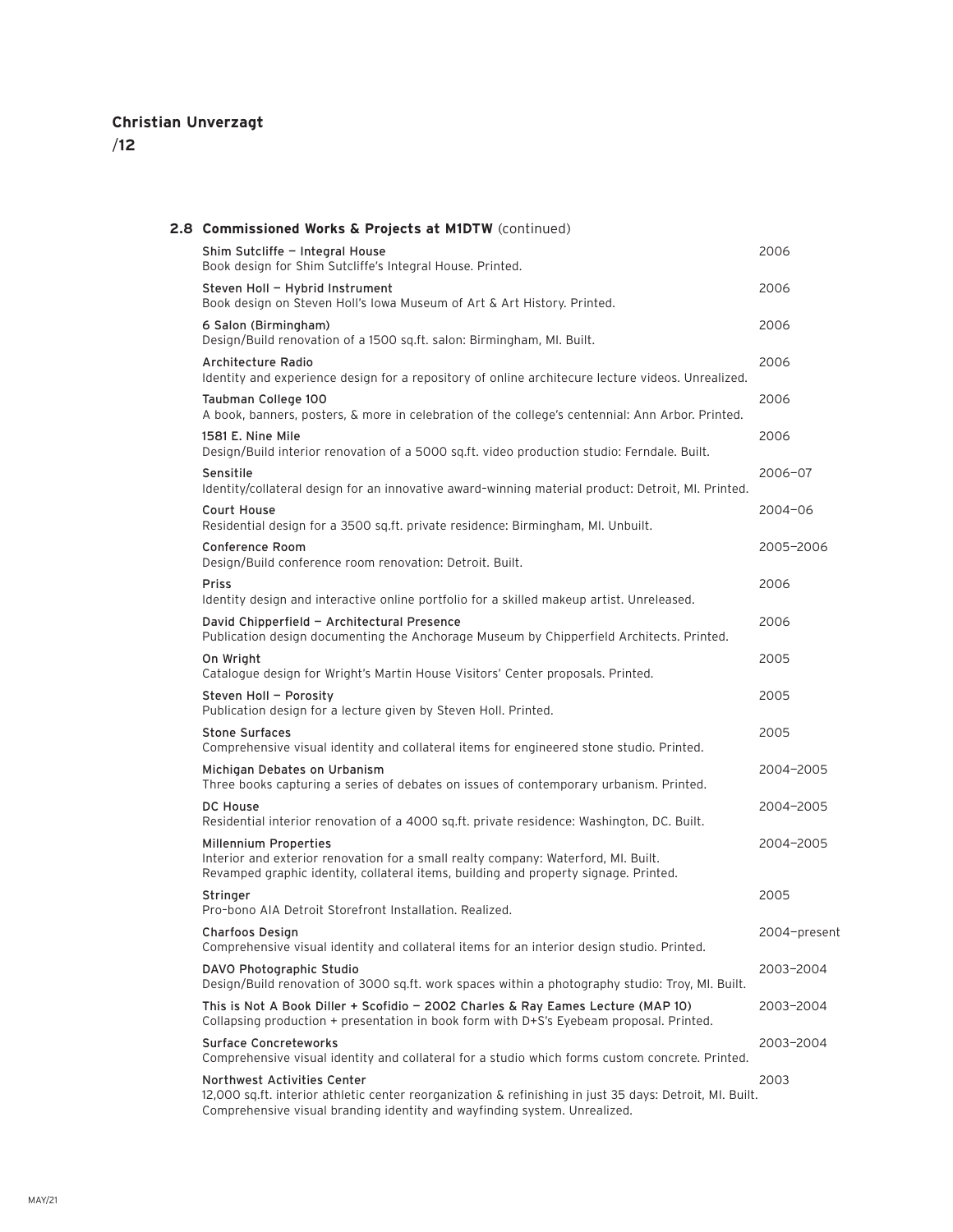| 2.8 Commissioned Works & Projects at M1DTW (continued)                                                                                                                                                               |              |
|----------------------------------------------------------------------------------------------------------------------------------------------------------------------------------------------------------------------|--------------|
| Shim Sutcliffe - Integral House<br>Book design for Shim Sutcliffe's Integral House. Printed.                                                                                                                         | 2006         |
| Steven Holl - Hybrid Instrument<br>Book design on Steven Holl's Iowa Museum of Art & Art History. Printed.                                                                                                           | 2006         |
| 6 Salon (Birmingham)<br>Design/Build renovation of a 1500 sq.ft. salon: Birmingham, MI. Built.                                                                                                                       | 2006         |
| Architecture Radio<br>Identity and experience design for a repository of online architecure lecture videos. Unrealized.                                                                                              | 2006         |
| Taubman College 100<br>A book, banners, posters, & more in celebration of the college's centennial: Ann Arbor. Printed.                                                                                              | 2006         |
| 1581 E. Nine Mile<br>Design/Build interior renovation of a 5000 sq.ft. video production studio: Ferndale. Built.                                                                                                     | 2006         |
| Sensitile<br>Identity/collateral design for an innovative award-winning material product: Detroit, MI. Printed.                                                                                                      | 2006-07      |
| Court House<br>Residential design for a 3500 sq.ft. private residence: Birmingham, MI. Unbuilt.                                                                                                                      | 2004-06      |
| <b>Conference Room</b><br>Design/Build conference room renovation: Detroit. Built.                                                                                                                                   | 2005-2006    |
| <b>Priss</b><br>Identity design and interactive online portfolio for a skilled makeup artist. Unreleased.                                                                                                            | 2006         |
| David Chipperfield - Architectural Presence<br>Publication design documenting the Anchorage Museum by Chipperfield Architects. Printed.                                                                              | 2006         |
| On Wright<br>Catalogue design for Wright's Martin House Visitors' Center proposals. Printed.                                                                                                                         | 2005         |
| Steven Holl - Porosity<br>Publication design for a lecture given by Steven Holl. Printed.                                                                                                                            | 2005         |
| <b>Stone Surfaces</b><br>Comprehensive visual identity and collateral items for engineered stone studio. Printed.                                                                                                    | 2005         |
| Michigan Debates on Urbanism<br>Three books capturing a series of debates on issues of contemporary urbanism. Printed.                                                                                               | 2004-2005    |
| <b>DC House</b><br>Residential interior renovation of a 4000 sq.ft. private residence: Washington, DC. Built.                                                                                                        | 2004-2005    |
| Millennium Properties<br>Interior and exterior renovation for a small realty company: Waterford, MI. Built.<br>Revamped graphic identity, collateral items, building and property signage. Printed.                  | 2004-2005    |
| Stringer<br>Pro-bono AIA Detroit Storefront Installation. Realized.                                                                                                                                                  | 2005         |
| Charfoos Design<br>Comprehensive visual identity and collateral items for an interior design studio. Printed.                                                                                                        | 2004-present |
| DAVO Photographic Studio<br>Design/Build renovation of 3000 sq.ft. work spaces within a photography studio: Troy, MI. Built.                                                                                         | 2003-2004    |
| This is Not A Book Diller + Scofidio - 2002 Charles & Ray Eames Lecture (MAP 10)<br>Collapsing production + presentation in book form with D+S's Eyebeam proposal. Printed.                                          | 2003-2004    |
| <b>Surface Concreteworks</b><br>Comprehensive visual identity and collateral for a studio which forms custom concrete. Printed.                                                                                      | 2003-2004    |
| Northwest Activities Center<br>12,000 sq.ft. interior athletic center reorganization & refinishing in just 35 days: Detroit, MI. Built.<br>Comprehensive visual branding identity and wayfinding system. Unrealized. | 2003         |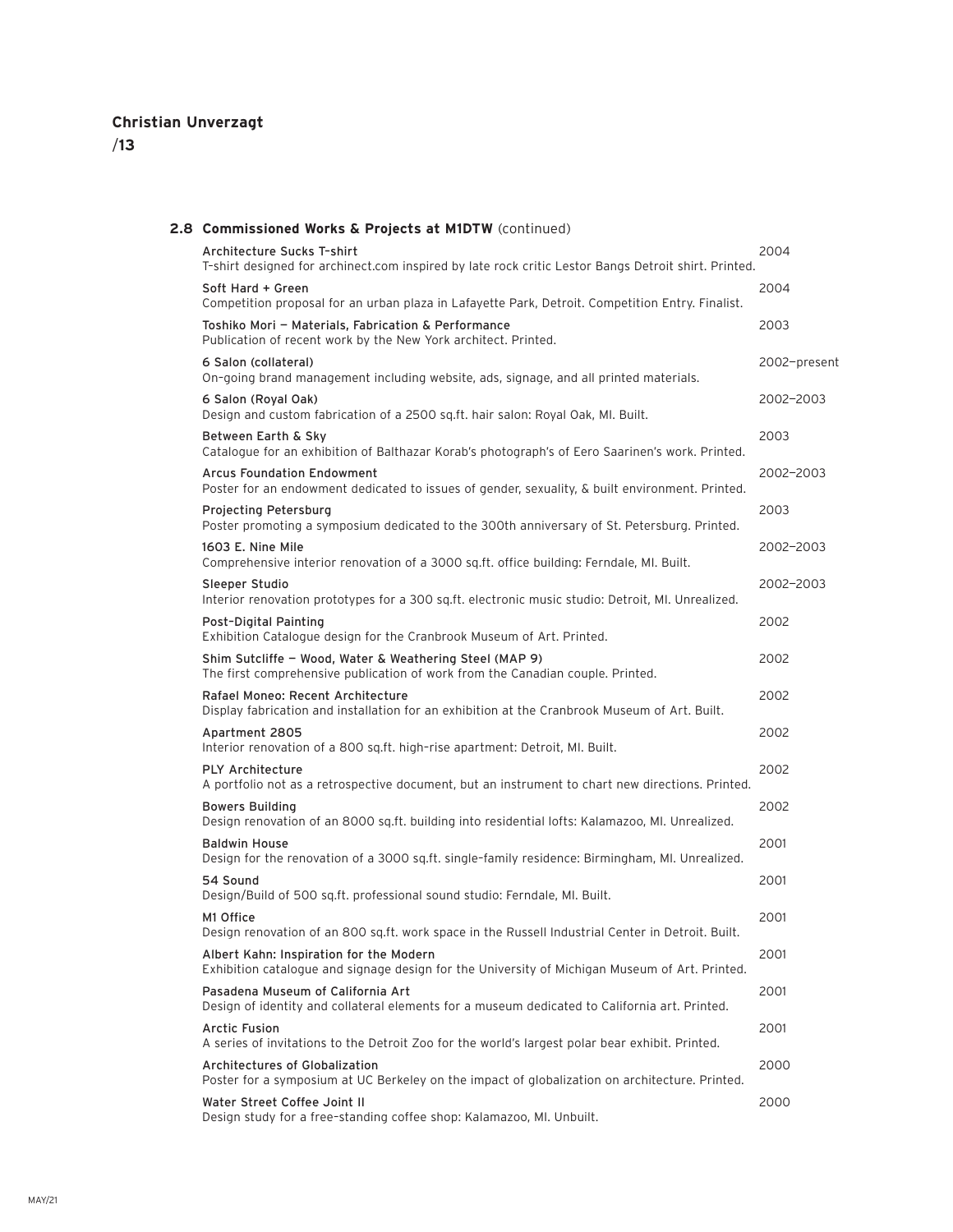| 2.8 Commissioned Works & Projects at M1DTW (continued)                                                                                    |              |
|-------------------------------------------------------------------------------------------------------------------------------------------|--------------|
| Architecture Sucks T-shirt<br>T-shirt designed for archinect.com inspired by late rock critic Lestor Bangs Detroit shirt. Printed.        | 2004         |
| Soft Hard + Green<br>Competition proposal for an urban plaza in Lafayette Park, Detroit. Competition Entry. Finalist.                     | 2004         |
| Toshiko Mori - Materials, Fabrication & Performance<br>Publication of recent work by the New York architect. Printed.                     | 2003         |
| 6 Salon (collateral)<br>On-going brand management including website, ads, signage, and all printed materials.                             | 2002-present |
| 6 Salon (Royal Oak)<br>Design and custom fabrication of a 2500 sq.ft. hair salon: Royal Oak, MI. Built.                                   | 2002-2003    |
| Between Earth & Sky<br>Catalogue for an exhibition of Balthazar Korab's photograph's of Eero Saarinen's work. Printed.                    | 2003         |
| <b>Arcus Foundation Endowment</b><br>Poster for an endowment dedicated to issues of gender, sexuality, & built environment. Printed.      | 2002-2003    |
| Projecting Petersburg<br>Poster promoting a symposium dedicated to the 300th anniversary of St. Petersburg. Printed.                      | 2003         |
| 1603 E. Nine Mile<br>Comprehensive interior renovation of a 3000 sq.ft. office building: Ferndale, MI. Built.                             | 2002-2003    |
| Sleeper Studio<br>Interior renovation prototypes for a 300 sq.ft. electronic music studio: Detroit, MI. Unrealized.                       | 2002-2003    |
| Post-Digital Painting<br>Exhibition Catalogue design for the Cranbrook Museum of Art. Printed.                                            | 2002         |
| Shim Sutcliffe - Wood, Water & Weathering Steel (MAP 9)<br>The first comprehensive publication of work from the Canadian couple. Printed. | 2002         |
| Rafael Moneo: Recent Architecture<br>Display fabrication and installation for an exhibition at the Cranbrook Museum of Art. Built.        | 2002         |
| Apartment 2805<br>Interior renovation of a 800 sq.ft. high-rise apartment: Detroit, MI. Built.                                            | 2002         |
| <b>PLY Architecture</b><br>A portfolio not as a retrospective document, but an instrument to chart new directions. Printed.               | 2002         |
| <b>Bowers Building</b><br>Design renovation of an 8000 sq.ft. building into residential lofts: Kalamazoo, MI. Unrealized.                 | 2002         |
| <b>Baldwin House</b><br>Design for the renovation of a 3000 sq.ft. single-family residence: Birmingham, MI. Unrealized.                   | 2001         |
| 54 Sound<br>Design/Build of 500 sq.ft. professional sound studio: Ferndale, MI. Built.                                                    | 2001         |
| M1 Office<br>Design renovation of an 800 sq.ft. work space in the Russell Industrial Center in Detroit. Built.                            | 2001         |
| Albert Kahn: Inspiration for the Modern<br>Exhibition catalogue and signage design for the University of Michigan Museum of Art. Printed. | 2001         |
| Pasadena Museum of California Art<br>Design of identity and collateral elements for a museum dedicated to California art. Printed.        | 2001         |
| Arctic Fusion<br>A series of invitations to the Detroit Zoo for the world's largest polar bear exhibit. Printed.                          | 2001         |
| Architectures of Globalization<br>Poster for a symposium at UC Berkeley on the impact of globalization on architecture. Printed.          | 2000         |
| Water Street Coffee Joint II<br>Design study for a free-standing coffee shop: Kalamazoo, MI. Unbuilt.                                     | 2000         |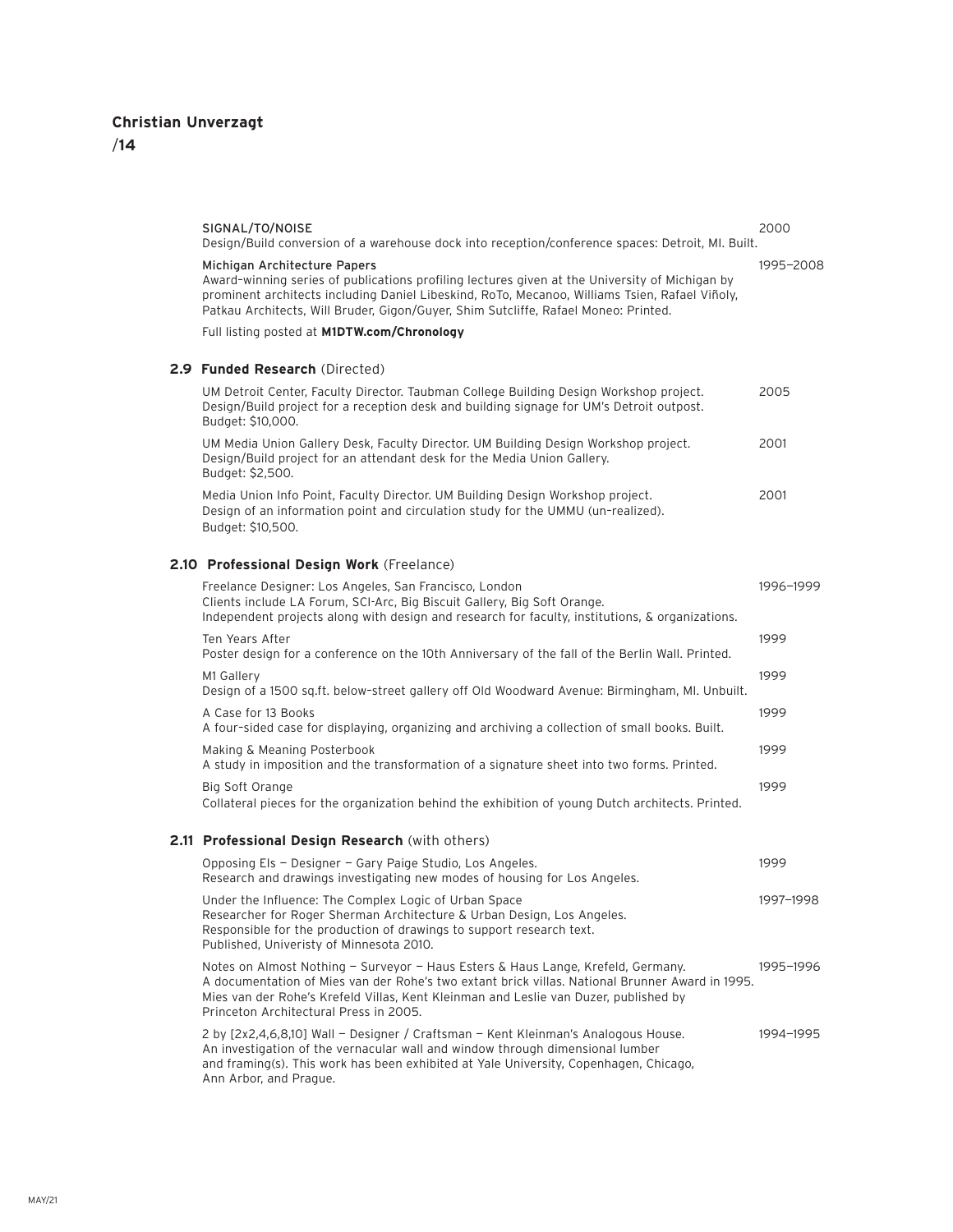/**14**

| SIGNAL/TO/NOISE<br>Design/Build conversion of a warehouse dock into reception/conference spaces: Detroit, MI. Built.                                                                                                                                                                                                    | 2000      |
|-------------------------------------------------------------------------------------------------------------------------------------------------------------------------------------------------------------------------------------------------------------------------------------------------------------------------|-----------|
| Michigan Architecture Papers<br>Award-winning series of publications profiling lectures given at the University of Michigan by<br>prominent architects including Daniel Libeskind, RoTo, Mecanoo, Williams Tsien, Rafael Viñoly,<br>Patkau Architects, Will Bruder, Gigon/Guyer, Shim Sutcliffe, Rafael Moneo: Printed. | 1995-2008 |
| Full listing posted at M1DTW.com/Chronology                                                                                                                                                                                                                                                                             |           |
| 2.9 Funded Research (Directed)                                                                                                                                                                                                                                                                                          |           |
| UM Detroit Center, Faculty Director. Taubman College Building Design Workshop project.<br>Design/Build project for a reception desk and building signage for UM's Detroit outpost.<br>Budget: \$10,000.                                                                                                                 | 2005      |
| UM Media Union Gallery Desk, Faculty Director. UM Building Design Workshop project.<br>Design/Build project for an attendant desk for the Media Union Gallery.<br>Budget: \$2,500.                                                                                                                                      | 2001      |
| Media Union Info Point, Faculty Director. UM Building Design Workshop project.<br>Design of an information point and circulation study for the UMMU (un-realized).<br>Budget: \$10,500.                                                                                                                                 | 2001      |
| 2.10 Professional Design Work (Freelance)                                                                                                                                                                                                                                                                               |           |
| Freelance Designer: Los Angeles, San Francisco, London<br>Clients include LA Forum, SCI-Arc, Big Biscuit Gallery, Big Soft Orange.<br>Independent projects along with design and research for faculty, institutions, & organizations.                                                                                   | 1996-1999 |
| Ten Years After<br>Poster design for a conference on the 10th Anniversary of the fall of the Berlin Wall. Printed.                                                                                                                                                                                                      | 1999      |
| M1 Gallery<br>Design of a 1500 sq.ft. below-street gallery off Old Woodward Avenue: Birmingham, MI. Unbuilt.                                                                                                                                                                                                            | 1999      |
| A Case for 13 Books<br>A four-sided case for displaying, organizing and archiving a collection of small books. Built.                                                                                                                                                                                                   | 1999      |
| Making & Meaning Posterbook<br>A study in imposition and the transformation of a signature sheet into two forms. Printed.                                                                                                                                                                                               | 1999      |
| Big Soft Orange<br>Collateral pieces for the organization behind the exhibition of young Dutch architects. Printed.                                                                                                                                                                                                     | 1999      |
| 2.11 Professional Design Research (with others)                                                                                                                                                                                                                                                                         |           |
| Opposing Els - Designer - Gary Paige Studio, Los Angeles.<br>Research and drawings investigating new modes of housing for Los Angeles.                                                                                                                                                                                  | 1999      |
| Under the Influence: The Complex Logic of Urban Space<br>Researcher for Roger Sherman Architecture & Urban Design, Los Angeles.<br>Responsible for the production of drawings to support research text.<br>Published, Univeristy of Minnesota 2010.                                                                     | 1997-1998 |
| Notes on Almost Nothing - Surveyor - Haus Esters & Haus Lange, Krefeld, Germany.<br>A documentation of Mies van der Rohe's two extant brick villas. National Brunner Award in 1995.<br>Mies van der Rohe's Krefeld Villas, Kent Kleinman and Leslie van Duzer, published by<br>Princeton Architectural Press in 2005.   | 1995-1996 |

2 by [2x2,4,6,8,10] Wall — Designer / Craftsman — Kent Kleinman's Analogous House. 1994—1995 An investigation of the vernacular wall and window through dimensional lumber and framing(s). This work has been exhibited at Yale University, Copenhagen, Chicago, Ann Arbor, and Prague.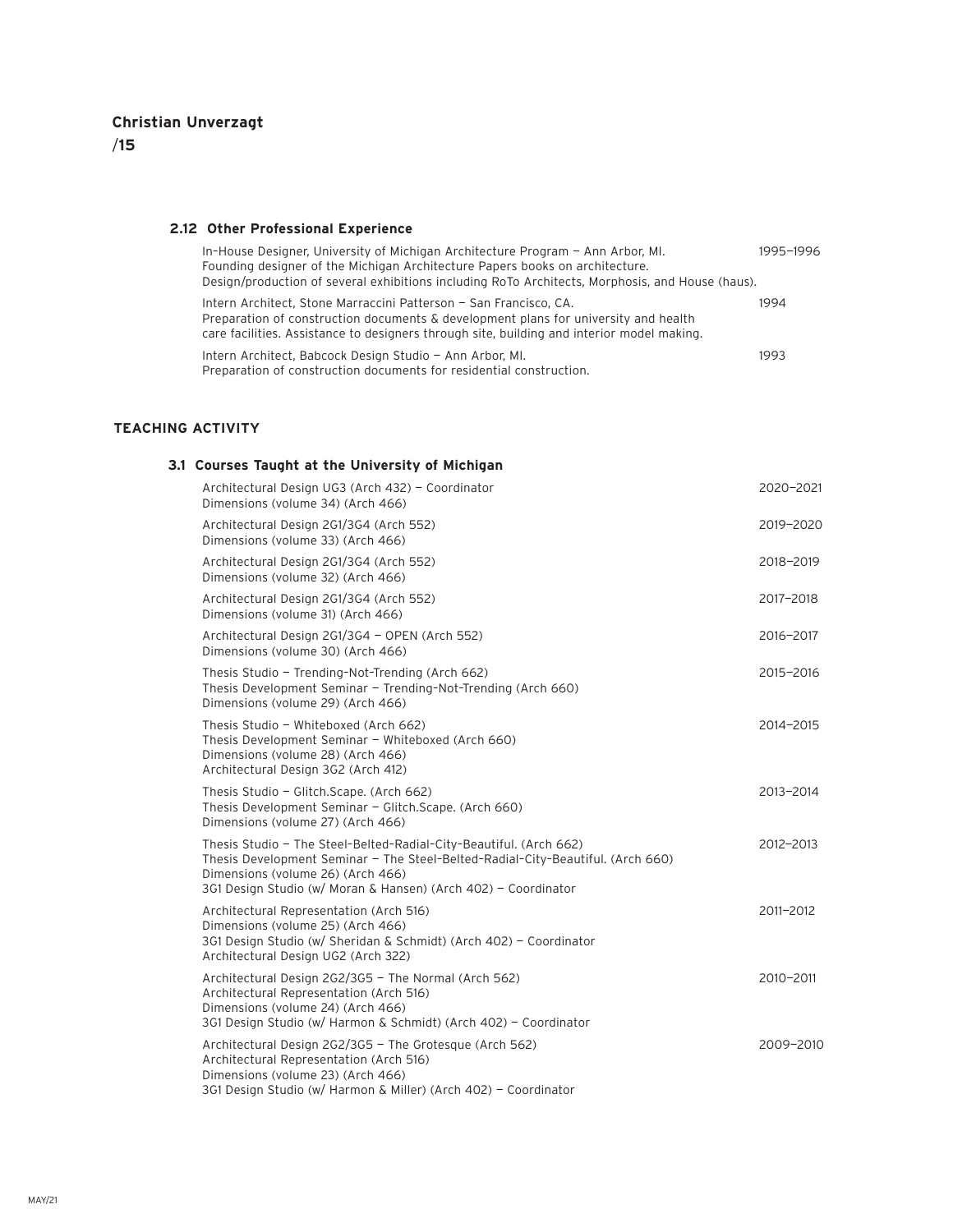#### **2.12 Other Professional Experience**

| In-House Designer, University of Michigan Architecture Program - Ann Arbor, MI.<br>Founding designer of the Michigan Architecture Papers books on architecture.<br>Design/production of several exhibitions including RoTo Architects, Morphosis, and House (haus). | 1995-1996 |
|---------------------------------------------------------------------------------------------------------------------------------------------------------------------------------------------------------------------------------------------------------------------|-----------|
| Intern Architect, Stone Marraccini Patterson - San Francisco, CA.<br>Preparation of construction documents & development plans for university and health<br>care facilities. Assistance to designers through site, building and interior model making.              | 1994      |
| Intern Architect, Babcock Design Studio - Ann Arbor, MI.<br>Preparation of construction documents for residential construction.                                                                                                                                     | 1993      |

### **TEACHING ACTIVITY**

### **3.1 Courses Taught at the University of Michigan**

| Architectural Design UG3 (Arch 432) - Coordinator<br>Dimensions (volume 34) (Arch 466)                                                                                                                                                                       | 2020-2021 |
|--------------------------------------------------------------------------------------------------------------------------------------------------------------------------------------------------------------------------------------------------------------|-----------|
| Architectural Design 2G1/3G4 (Arch 552)<br>Dimensions (volume 33) (Arch 466)                                                                                                                                                                                 | 2019-2020 |
| Architectural Design 2G1/3G4 (Arch 552)<br>Dimensions (volume 32) (Arch 466)                                                                                                                                                                                 | 2018-2019 |
| Architectural Design 2G1/3G4 (Arch 552)<br>Dimensions (volume 31) (Arch 466)                                                                                                                                                                                 | 2017-2018 |
| Architectural Design 2G1/3G4 - OPEN (Arch 552)<br>Dimensions (volume 30) (Arch 466)                                                                                                                                                                          | 2016-2017 |
| Thesis Studio - Trending-Not-Trending (Arch 662)<br>Thesis Development Seminar - Trending-Not-Trending (Arch 660)<br>Dimensions (volume 29) (Arch 466)                                                                                                       | 2015-2016 |
| Thesis Studio - Whiteboxed (Arch 662)<br>Thesis Development Seminar - Whiteboxed (Arch 660)<br>Dimensions (volume 28) (Arch 466)<br>Architectural Design 3G2 (Arch 412)                                                                                      | 2014-2015 |
| Thesis Studio - Glitch.Scape. (Arch 662)<br>Thesis Development Seminar - Glitch. Scape. (Arch 660)<br>Dimensions (volume 27) (Arch 466)                                                                                                                      | 2013-2014 |
| Thesis Studio - The Steel-Belted-Radial-City-Beautiful. (Arch 662)<br>Thesis Development Seminar - The Steel-Belted-Radial-City-Beautiful. (Arch 660)<br>Dimensions (volume 26) (Arch 466)<br>3G1 Design Studio (w/ Moran & Hansen) (Arch 402) - Coordinator | 2012-2013 |
| Architectural Representation (Arch 516)<br>Dimensions (volume 25) (Arch 466)<br>3G1 Design Studio (w/ Sheridan & Schmidt) (Arch 402) - Coordinator<br>Architectural Design UG2 (Arch 322)                                                                    | 2011-2012 |
| Architectural Design 2G2/3G5 - The Normal (Arch 562)<br>Architectural Representation (Arch 516)<br>Dimensions (volume 24) (Arch 466)<br>3G1 Design Studio (w/ Harmon & Schmidt) (Arch 402) - Coordinator                                                     | 2010-2011 |
| Architectural Design 2G2/3G5 - The Grotesque (Arch 562)<br>Architectural Representation (Arch 516)<br>Dimensions (volume 23) (Arch 466)<br>3G1 Design Studio (w/ Harmon & Miller) (Arch 402) - Coordinator                                                   | 2009-2010 |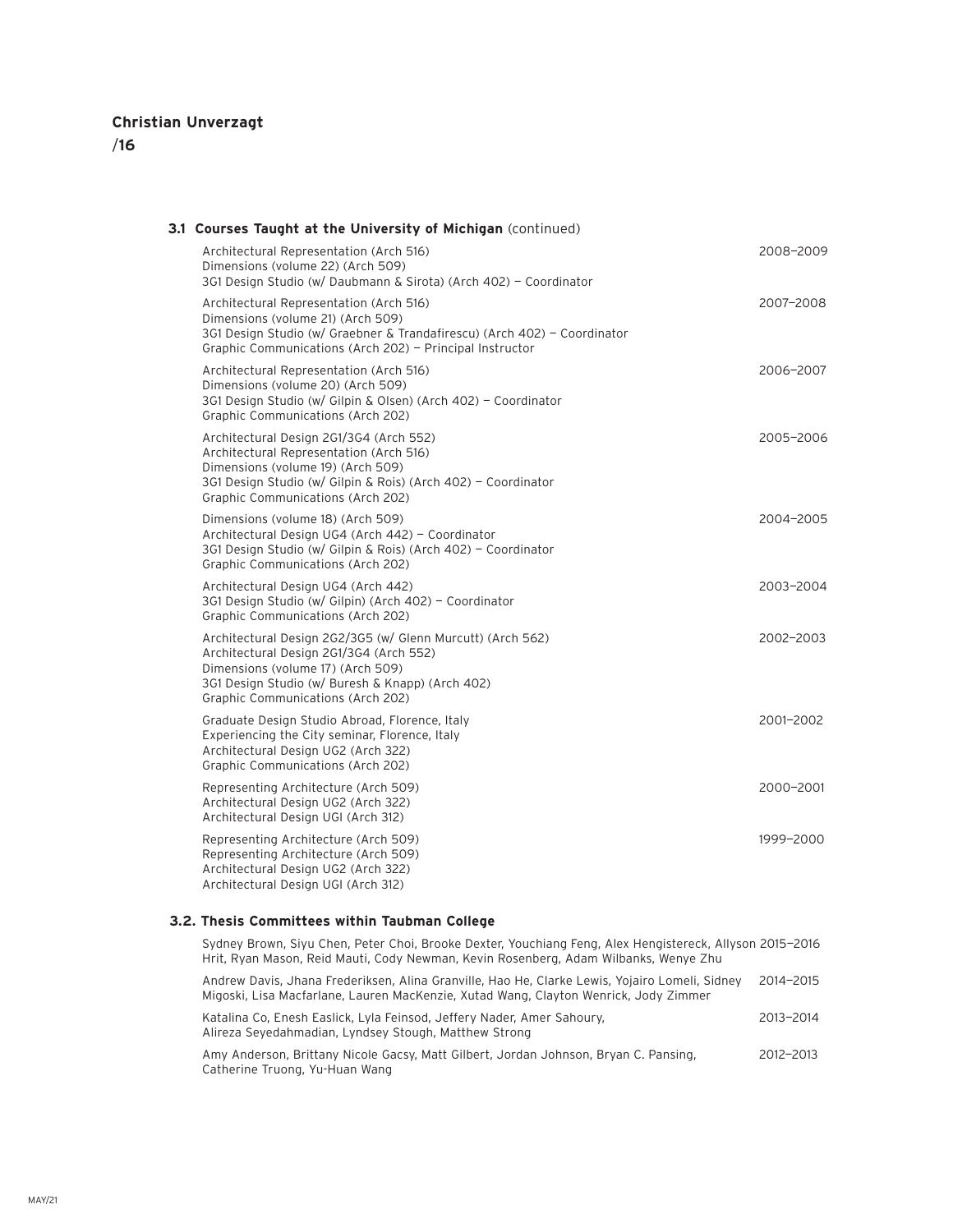# /**16**

| 3.1 Courses Taught at the University of Michigan (continued)                                                                                                                                                                        |           |
|-------------------------------------------------------------------------------------------------------------------------------------------------------------------------------------------------------------------------------------|-----------|
| Architectural Representation (Arch 516)<br>Dimensions (volume 22) (Arch 509)<br>3G1 Design Studio (w/ Daubmann & Sirota) (Arch 402) - Coordinator                                                                                   | 2008-2009 |
| Architectural Representation (Arch 516)<br>Dimensions (volume 21) (Arch 509)<br>3G1 Design Studio (w/ Graebner & Trandafirescu) (Arch 402) - Coordinator<br>Graphic Communications (Arch 202) - Principal Instructor                | 2007-2008 |
| Architectural Representation (Arch 516)<br>Dimensions (volume 20) (Arch 509)<br>3G1 Design Studio (w/ Gilpin & Olsen) (Arch 402) - Coordinator<br>Graphic Communications (Arch 202)                                                 | 2006-2007 |
| Architectural Design 2G1/3G4 (Arch 552)<br>Architectural Representation (Arch 516)<br>Dimensions (volume 19) (Arch 509)<br>3G1 Design Studio (w/ Gilpin & Rois) (Arch 402) - Coordinator<br>Graphic Communications (Arch 202)       | 2005-2006 |
| Dimensions (volume 18) (Arch 509)<br>Architectural Design UG4 (Arch 442) - Coordinator<br>3G1 Design Studio (w/ Gilpin & Rois) (Arch 402) - Coordinator<br>Graphic Communications (Arch 202)                                        | 2004-2005 |
| Architectural Design UG4 (Arch 442)<br>3G1 Design Studio (w/ Gilpin) (Arch 402) - Coordinator<br>Graphic Communications (Arch 202)                                                                                                  | 2003-2004 |
| Architectural Design 2G2/3G5 (w/ Glenn Murcutt) (Arch 562)<br>Architectural Design 2G1/3G4 (Arch 552)<br>Dimensions (volume 17) (Arch 509)<br>3G1 Design Studio (w/ Buresh & Knapp) (Arch 402)<br>Graphic Communications (Arch 202) | 2002-2003 |
| Graduate Design Studio Abroad, Florence, Italy<br>Experiencing the City seminar, Florence, Italy<br>Architectural Design UG2 (Arch 322)<br>Graphic Communications (Arch 202)                                                        | 2001-2002 |
| Representing Architecture (Arch 509)<br>Architectural Design UG2 (Arch 322)<br>Architectural Design UGI (Arch 312)                                                                                                                  | 2000-2001 |
| Representing Architecture (Arch 509)<br>Representing Architecture (Arch 509)<br>Architectural Design UG2 (Arch 322)<br>Architectural Design UGI (Arch 312)                                                                          | 1999-2000 |
|                                                                                                                                                                                                                                     |           |

### **3.2. Thesis Committees within Taubman College**

| Sydney Brown, Siyu Chen, Peter Choi, Brooke Dexter, Youchiang Feng, Alex Hengistereck, Allyson 2015–2016<br>Hrit, Ryan Mason, Reid Mauti, Cody Newman, Kevin Rosenberg, Adam Wilbanks, Wenye Zhu |           |
|--------------------------------------------------------------------------------------------------------------------------------------------------------------------------------------------------|-----------|
| Andrew Davis, Jhana Frederiksen, Alina Granville, Hao He, Clarke Lewis, Yojairo Lomeli, Sidney<br>Migoski, Lisa Macfarlane, Lauren MacKenzie, Xutad Wang, Clayton Wenrick, Jody Zimmer           | 2014-2015 |
| Katalina Co, Enesh Easlick, Lyla Feinsod, Jeffery Nader, Amer Sahoury,<br>Alireza Seyedahmadian, Lyndsey Stough, Matthew Strong                                                                  | 2013-2014 |
| Amy Anderson, Brittany Nicole Gassy, Matt Cilbert, Jordan, Johnson, Bryan C, Pansing                                                                                                             | 2012-2013 |

Amy Anderson, Brittany Nicole Gacsy, Matt Gilbert, Jordan Johnson, Bryan C. Pansing, 2012—2013 Catherine Truong, Yu-Huan Wang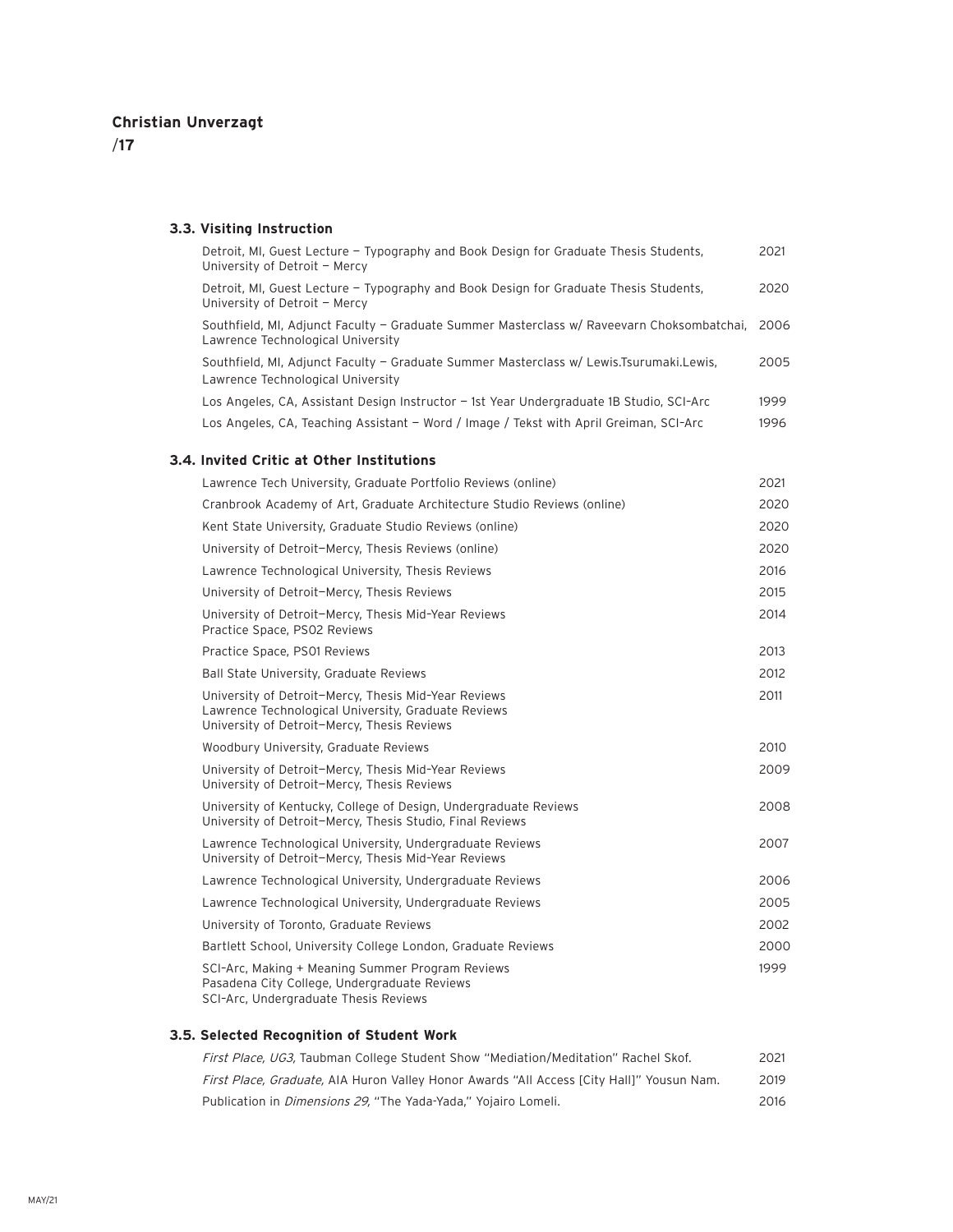/**17**

### **3.3. Visiting Instruction**

| Detroit, MI, Guest Lecture - Typography and Book Design for Graduate Thesis Students,<br>University of Detroit - Mercy                                     | 2021 |
|------------------------------------------------------------------------------------------------------------------------------------------------------------|------|
| Detroit, MI, Guest Lecture - Typography and Book Design for Graduate Thesis Students,<br>University of Detroit - Mercy                                     | 2020 |
| Southfield, MI, Adjunct Faculty - Graduate Summer Masterclass w/ Raveevarn Choksombatchai,<br>Lawrence Technological University                            | 2006 |
| Southfield, MI, Adjunct Faculty - Graduate Summer Masterclass w/ Lewis.Tsurumaki.Lewis,<br>Lawrence Technological University                               | 2005 |
| Los Angeles, CA, Assistant Design Instructor - 1st Year Undergraduate 1B Studio, SCI-Arc                                                                   | 1999 |
| Los Angeles, CA, Teaching Assistant - Word / Image / Tekst with April Greiman, SCI-Arc                                                                     | 1996 |
| 3.4. Invited Critic at Other Institutions                                                                                                                  |      |
| Lawrence Tech University, Graduate Portfolio Reviews (online)                                                                                              | 2021 |
| Cranbrook Academy of Art, Graduate Architecture Studio Reviews (online)                                                                                    | 2020 |
| Kent State University, Graduate Studio Reviews (online)                                                                                                    | 2020 |
| University of Detroit-Mercy, Thesis Reviews (online)                                                                                                       | 2020 |
| Lawrence Technological University, Thesis Reviews                                                                                                          | 2016 |
| University of Detroit-Mercy, Thesis Reviews                                                                                                                | 2015 |
| University of Detroit-Mercy, Thesis Mid-Year Reviews<br>Practice Space, PS02 Reviews                                                                       | 2014 |
| Practice Space, PS01 Reviews                                                                                                                               | 2013 |
| Ball State University, Graduate Reviews                                                                                                                    | 2012 |
| University of Detroit-Mercy, Thesis Mid-Year Reviews<br>Lawrence Technological University, Graduate Reviews<br>University of Detroit-Mercy, Thesis Reviews | 2011 |
| Woodbury University, Graduate Reviews                                                                                                                      | 2010 |
| University of Detroit-Mercy, Thesis Mid-Year Reviews<br>University of Detroit-Mercy, Thesis Reviews                                                        | 2009 |
| University of Kentucky, College of Design, Undergraduate Reviews<br>University of Detroit-Mercy, Thesis Studio, Final Reviews                              | 2008 |
| Lawrence Technological University, Undergraduate Reviews<br>University of Detroit-Mercy, Thesis Mid-Year Reviews                                           | 2007 |
| Lawrence Technological University, Undergraduate Reviews                                                                                                   | 2006 |
| Lawrence Technological University, Undergraduate Reviews                                                                                                   | 2005 |
| University of Toronto, Graduate Reviews                                                                                                                    | 2002 |
| Bartlett School, University College London, Graduate Reviews                                                                                               | 2000 |
| SCI-Arc, Making + Meaning Summer Program Reviews<br>Pasadena City College, Undergraduate Reviews<br>SCI-Arc, Undergraduate Thesis Reviews                  | 1999 |

**3.5. Selected Recognition of Student Work**

| First Place, UG3, Taubman College Student Show "Mediation/Meditation" Rachel Skof.        | 2021 |
|-------------------------------------------------------------------------------------------|------|
| First Place, Graduate, AIA Huron Valley Honor Awards "All Access [City Hall]" Yousun Nam. | 2019 |
| Publication in <i>Dimensions 29.</i> "The Yada-Yada." Yoiairo Lomeli.                     | 2016 |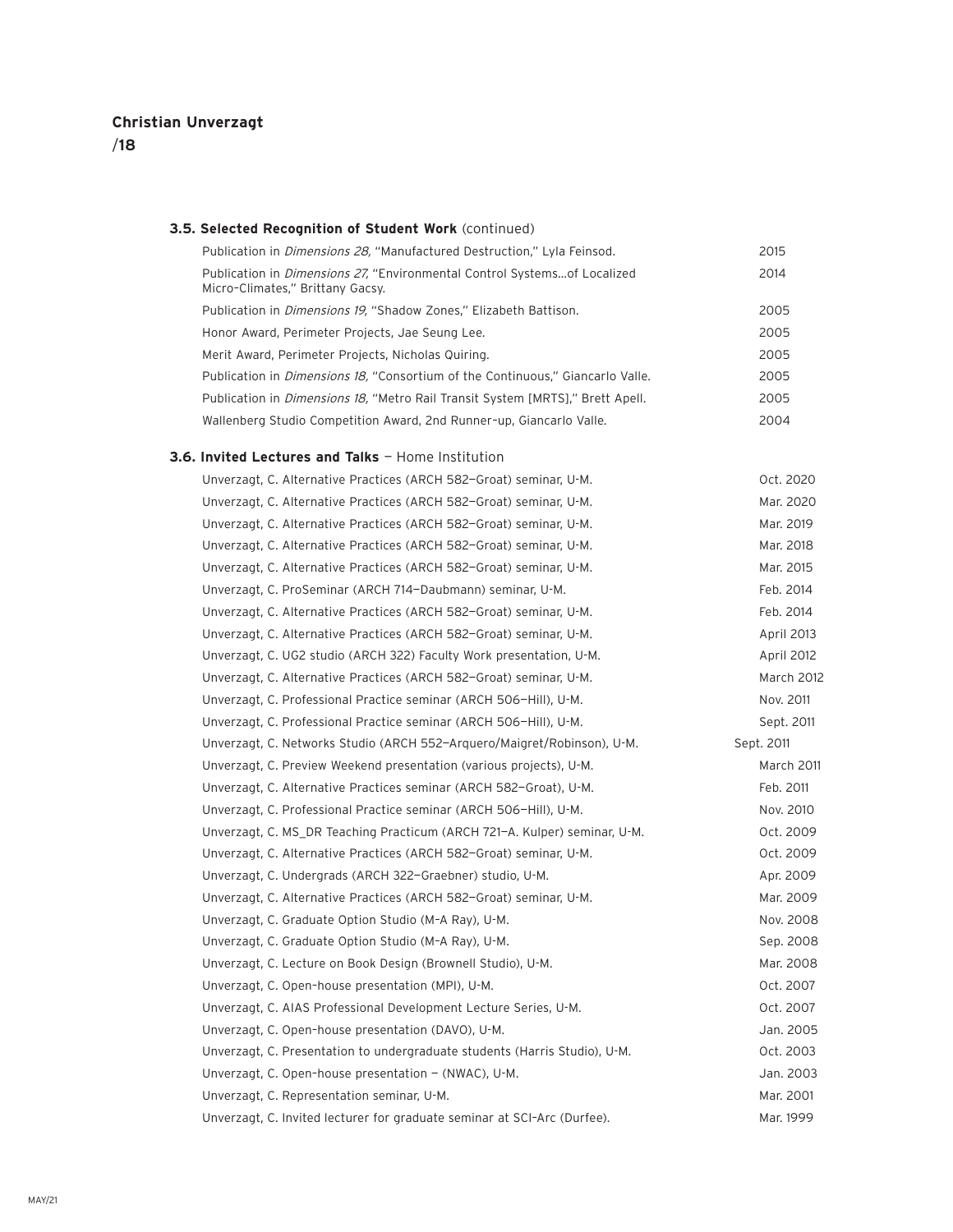#### **3.5. Selected Recognition of Student Work** (continued)

| Publication in <i>Dimensions 28</i> , "Manufactured Destruction," Lyla Feinsod.                                      | 2015 |
|----------------------------------------------------------------------------------------------------------------------|------|
| Publication in <i>Dimensions 27</i> , "Environmental Control Systemsof Localized<br>Micro-Climates," Brittany Gacsy. | 2014 |
| Publication in <i>Dimensions 19</i> , "Shadow Zones," Elizabeth Battison.                                            | 2005 |
| Honor Award, Perimeter Projects, Jae Seung Lee.                                                                      | 2005 |
| Merit Award, Perimeter Projects, Nicholas Quiring.                                                                   | 2005 |
| Publication in <i>Dimensions 18</i> , "Consortium of the Continuous," Giancarlo Valle.                               | 2005 |
| Publication in <i>Dimensions 18</i> , "Metro Rail Transit System [MRTS]," Brett Apell.                               | 2005 |
| Wallenberg Studio Competition Award, 2nd Runner-up, Giancarlo Valle.                                                 | 2004 |

### **3.6. Invited Lectures and Talks** — Home Institution

| Unverzagt, C. Alternative Practices (ARCH 582-Groat) seminar, U-M.         | Oct. 2020  |
|----------------------------------------------------------------------------|------------|
| Unverzagt, C. Alternative Practices (ARCH 582-Groat) seminar, U-M.         | Mar. 2020  |
| Unverzagt, C. Alternative Practices (ARCH 582-Groat) seminar, U-M.         | Mar. 2019  |
| Unverzagt, C. Alternative Practices (ARCH 582-Groat) seminar, U-M.         | Mar. 2018  |
| Unverzagt, C. Alternative Practices (ARCH 582-Groat) seminar, U-M.         | Mar. 2015  |
| Unverzagt, C. ProSeminar (ARCH 714-Daubmann) seminar, U-M.                 | Feb. 2014  |
| Unverzagt, C. Alternative Practices (ARCH 582-Groat) seminar, U-M.         | Feb. 2014  |
| Unverzagt, C. Alternative Practices (ARCH 582-Groat) seminar, U-M.         | April 2013 |
| Unverzagt, C. UG2 studio (ARCH 322) Faculty Work presentation, U-M.        | April 2012 |
| Unverzagt, C. Alternative Practices (ARCH 582-Groat) seminar, U-M.         | March 2012 |
| Unverzagt, C. Professional Practice seminar (ARCH 506-Hill), U-M.          | Nov. 2011  |
| Unverzagt, C. Professional Practice seminar (ARCH 506-Hill), U-M.          | Sept. 2011 |
| Unverzagt, C. Networks Studio (ARCH 552-Arguero/Maigret/Robinson), U-M.    | Sept. 2011 |
| Unverzagt, C. Preview Weekend presentation (various projects), U-M.        | March 2011 |
| Unverzagt, C. Alternative Practices seminar (ARCH 582-Groat), U-M.         | Feb. 2011  |
| Unverzagt, C. Professional Practice seminar (ARCH 506-Hill), U-M.          | Nov. 2010  |
| Unverzagt, C. MS_DR Teaching Practicum (ARCH 721-A. Kulper) seminar, U-M.  | Oct. 2009  |
| Unverzagt, C. Alternative Practices (ARCH 582-Groat) seminar, U-M.         | Oct. 2009  |
| Unverzagt, C. Undergrads (ARCH 322-Graebner) studio, U-M.                  | Apr. 2009  |
| Unverzagt, C. Alternative Practices (ARCH 582-Groat) seminar, U-M.         | Mar. 2009  |
| Unverzagt, C. Graduate Option Studio (M-A Ray), U-M.                       | Nov. 2008  |
| Unverzagt, C. Graduate Option Studio (M-A Ray), U-M.                       | Sep. 2008  |
| Unverzagt, C. Lecture on Book Design (Brownell Studio), U-M.               | Mar. 2008  |
| Unverzagt, C. Open-house presentation (MPI), U-M.                          | Oct. 2007  |
| Unverzagt, C. AIAS Professional Development Lecture Series, U-M.           | Oct. 2007  |
| Unverzagt, C. Open-house presentation (DAVO), U-M.                         | Jan. 2005  |
| Unverzagt, C. Presentation to undergraduate students (Harris Studio), U-M. | Oct. 2003  |
| Unverzagt, C. Open-house presentation - (NWAC), U-M.                       | Jan. 2003  |
| Unverzagt, C. Representation seminar, U-M.                                 | Mar. 2001  |
| Unverzagt, C. Invited lecturer for graduate seminar at SCI-Arc (Durfee).   | Mar. 1999  |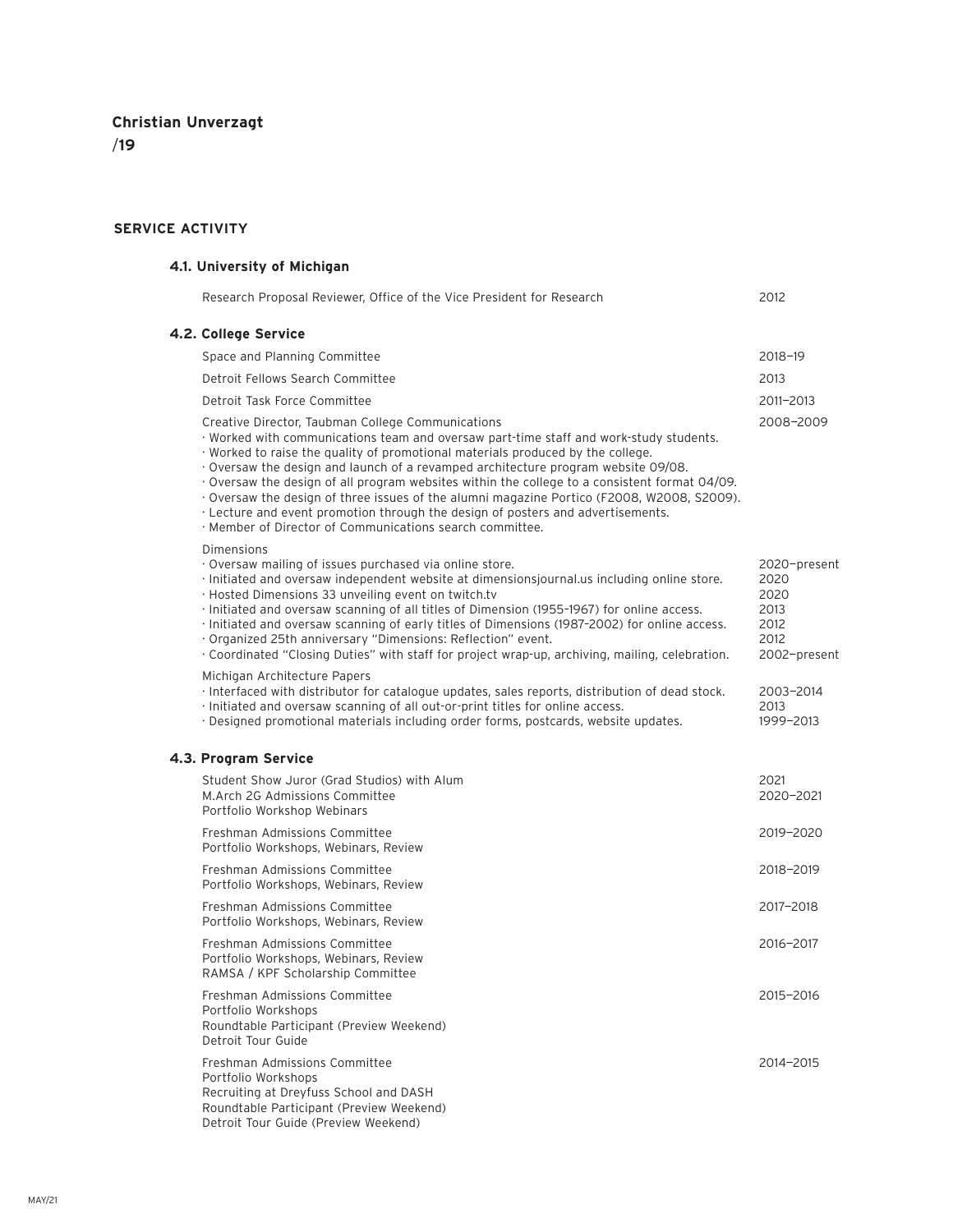### **SERVICE ACTIVITY**

### **4.1. University of Michigan**

|  | Research Proposal Reviewer, Office of the Vice President for Research                                                                                                                                                                                                                                                                                                                                                                                                                                                                                                                                                                                           | 2012                                                                 |
|--|-----------------------------------------------------------------------------------------------------------------------------------------------------------------------------------------------------------------------------------------------------------------------------------------------------------------------------------------------------------------------------------------------------------------------------------------------------------------------------------------------------------------------------------------------------------------------------------------------------------------------------------------------------------------|----------------------------------------------------------------------|
|  | 4.2. College Service                                                                                                                                                                                                                                                                                                                                                                                                                                                                                                                                                                                                                                            |                                                                      |
|  | Space and Planning Committee                                                                                                                                                                                                                                                                                                                                                                                                                                                                                                                                                                                                                                    | 2018-19                                                              |
|  | Detroit Fellows Search Committee                                                                                                                                                                                                                                                                                                                                                                                                                                                                                                                                                                                                                                | 2013                                                                 |
|  | Detroit Task Force Committee                                                                                                                                                                                                                                                                                                                                                                                                                                                                                                                                                                                                                                    | 2011-2013                                                            |
|  | Creative Director, Taubman College Communications<br>· Worked with communications team and oversaw part-time staff and work-study students.<br>· Worked to raise the quality of promotional materials produced by the college.<br>· Oversaw the design and launch of a revamped architecture program website 09/08.<br>Oversaw the design of all program websites within the college to a consistent format 04/09.<br>· Oversaw the design of three issues of the alumni magazine Portico (F2008, W2008, S2009).<br>· Lecture and event promotion through the design of posters and advertisements.<br>· Member of Director of Communications search committee. | 2008-2009                                                            |
|  | Dimensions<br>Oversaw mailing of issues purchased via online store.<br>· Initiated and oversaw independent website at dimensionsjournal.us including online store.<br>· Hosted Dimensions 33 unveiling event on twitch.tv<br>· Initiated and oversaw scanning of all titles of Dimension (1955-1967) for online access.<br>· Initiated and oversaw scanning of early titles of Dimensions (1987-2002) for online access.<br>· Organized 25th anniversary "Dimensions: Reflection" event.<br>· Coordinated "Closing Duties" with staff for project wrap-up, archiving, mailing, celebration.                                                                     | 2020-present<br>2020<br>2020<br>2013<br>2012<br>2012<br>2002-present |
|  | Michigan Architecture Papers<br>· Interfaced with distributor for catalogue updates, sales reports, distribution of dead stock.<br>· Initiated and oversaw scanning of all out-or-print titles for online access.<br>· Designed promotional materials including order forms, postcards, website updates.                                                                                                                                                                                                                                                                                                                                                        | 2003-2014<br>2013<br>1999-2013                                       |
|  | 4.3. Program Service                                                                                                                                                                                                                                                                                                                                                                                                                                                                                                                                                                                                                                            |                                                                      |
|  | Student Show Juror (Grad Studios) with Alum<br>M.Arch 2G Admissions Committee<br>Portfolio Workshop Webinars                                                                                                                                                                                                                                                                                                                                                                                                                                                                                                                                                    | 2021<br>2020-2021                                                    |
|  | Freshman Admissions Committee<br>Portfolio Workshops, Webinars, Review                                                                                                                                                                                                                                                                                                                                                                                                                                                                                                                                                                                          | 2019-2020                                                            |
|  | Freshman Admissions Committee<br>Portfolio Workshops, Webinars, Review                                                                                                                                                                                                                                                                                                                                                                                                                                                                                                                                                                                          | 2018-2019                                                            |
|  | Freshman Admissions Committee<br>Portfolio Workshops, Webinars, Review                                                                                                                                                                                                                                                                                                                                                                                                                                                                                                                                                                                          | 2017-2018                                                            |
|  | Freshman Admissions Committee<br>Portfolio Workshops, Webinars, Review<br>RAMSA / KPF Scholarship Committee                                                                                                                                                                                                                                                                                                                                                                                                                                                                                                                                                     | 2016-2017                                                            |
|  | Freshman Admissions Committee<br>Portfolio Workshops<br>Roundtable Participant (Preview Weekend)<br>Detroit Tour Guide                                                                                                                                                                                                                                                                                                                                                                                                                                                                                                                                          | 2015-2016                                                            |
|  | Freshman Admissions Committee<br>Portfolio Workshops<br>Recruiting at Dreyfuss School and DASH<br>Roundtable Participant (Preview Weekend)<br>Detroit Tour Guide (Preview Weekend)                                                                                                                                                                                                                                                                                                                                                                                                                                                                              | 2014-2015                                                            |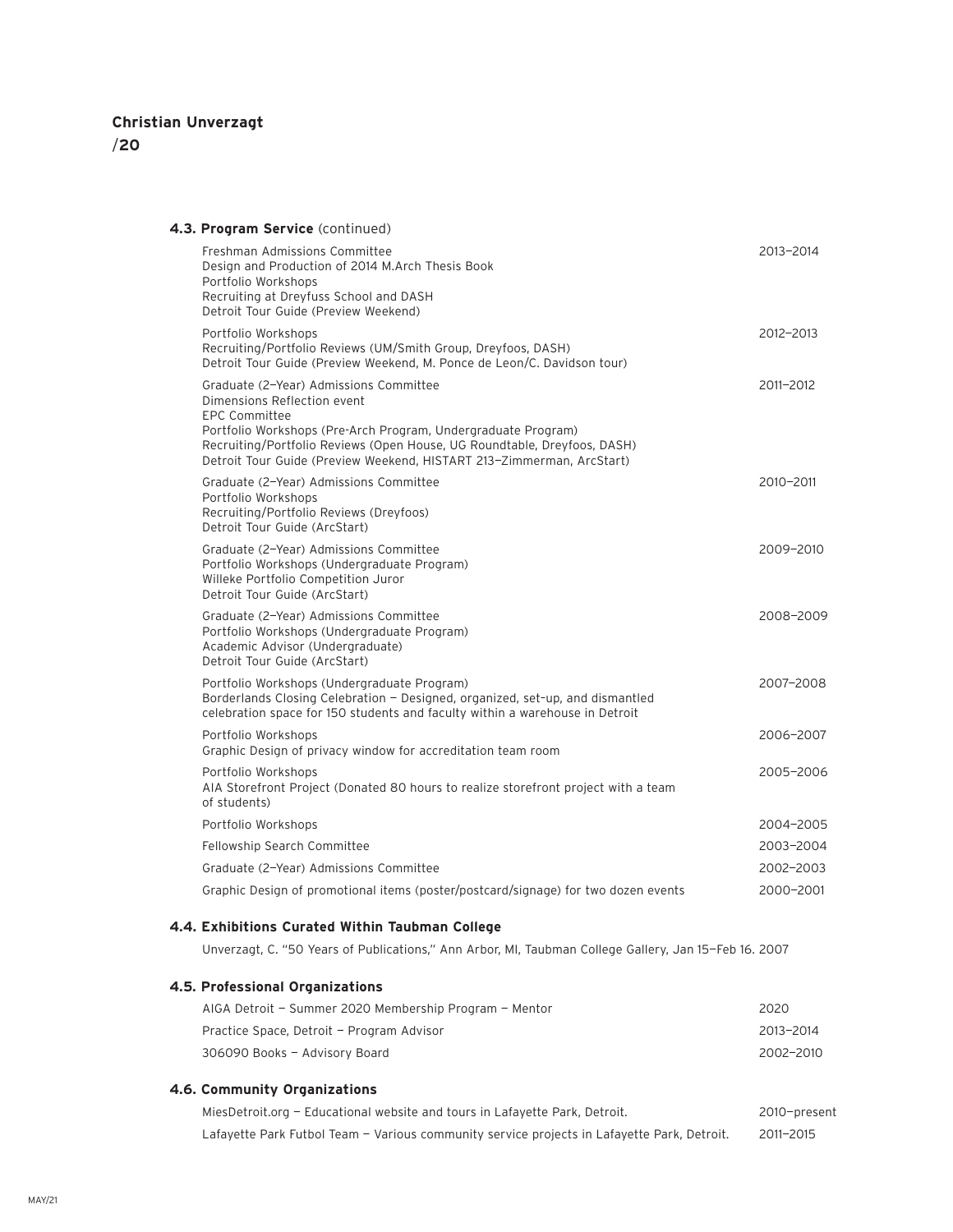| 4.3. Program Service (continued)                                                                                                                                                                                                                                                                                    |              |
|---------------------------------------------------------------------------------------------------------------------------------------------------------------------------------------------------------------------------------------------------------------------------------------------------------------------|--------------|
| Freshman Admissions Committee<br>Design and Production of 2014 M.Arch Thesis Book<br>Portfolio Workshops<br>Recruiting at Dreyfuss School and DASH<br>Detroit Tour Guide (Preview Weekend)                                                                                                                          | 2013-2014    |
| Portfolio Workshops<br>Recruiting/Portfolio Reviews (UM/Smith Group, Dreyfoos, DASH)<br>Detroit Tour Guide (Preview Weekend, M. Ponce de Leon/C. Davidson tour)                                                                                                                                                     | 2012-2013    |
| Graduate (2-Year) Admissions Committee<br>Dimensions Reflection event<br><b>EPC Committee</b><br>Portfolio Workshops (Pre-Arch Program, Undergraduate Program)<br>Recruiting/Portfolio Reviews (Open House, UG Roundtable, Dreyfoos, DASH)<br>Detroit Tour Guide (Preview Weekend, HISTART 213-Zimmerman, ArcStart) | 2011-2012    |
| Graduate (2-Year) Admissions Committee<br>Portfolio Workshops<br>Recruiting/Portfolio Reviews (Dreyfoos)<br>Detroit Tour Guide (ArcStart)                                                                                                                                                                           | 2010-2011    |
| Graduate (2-Year) Admissions Committee<br>Portfolio Workshops (Undergraduate Program)<br>Willeke Portfolio Competition Juror<br>Detroit Tour Guide (ArcStart)                                                                                                                                                       | 2009-2010    |
| Graduate (2-Year) Admissions Committee<br>Portfolio Workshops (Undergraduate Program)<br>Academic Advisor (Undergraduate)<br>Detroit Tour Guide (ArcStart)                                                                                                                                                          | 2008-2009    |
| Portfolio Workshops (Undergraduate Program)<br>Borderlands Closing Celebration - Designed, organized, set-up, and dismantled<br>celebration space for 150 students and faculty within a warehouse in Detroit                                                                                                        | 2007-2008    |
| Portfolio Workshops<br>Graphic Design of privacy window for accreditation team room                                                                                                                                                                                                                                 | 2006-2007    |
| Portfolio Workshops<br>AIA Storefront Project (Donated 80 hours to realize storefront project with a team<br>of students)                                                                                                                                                                                           | 2005-2006    |
| Portfolio Workshops                                                                                                                                                                                                                                                                                                 | 2004-2005    |
| Fellowship Search Committee                                                                                                                                                                                                                                                                                         | 2003-2004    |
| Graduate (2-Year) Admissions Committee                                                                                                                                                                                                                                                                              | 2002-2003    |
| Graphic Design of promotional items (poster/postcard/signage) for two dozen events                                                                                                                                                                                                                                  | 2000-2001    |
| 4.4. Exhibitions Curated Within Taubman College                                                                                                                                                                                                                                                                     |              |
| Unverzagt, C. "50 Years of Publications," Ann Arbor, MI, Taubman College Gallery, Jan 15-Feb 16. 2007                                                                                                                                                                                                               |              |
| 4.5. Professional Organizations                                                                                                                                                                                                                                                                                     |              |
| AIGA Detroit - Summer 2020 Membership Program - Mentor                                                                                                                                                                                                                                                              | 2020         |
| Practice Space, Detroit - Program Advisor                                                                                                                                                                                                                                                                           | 2013-2014    |
| 306090 Books - Advisory Board                                                                                                                                                                                                                                                                                       | 2002-2010    |
| 4.6. Community Organizations                                                                                                                                                                                                                                                                                        |              |
| MiesDetroit.org - Educational website and tours in Lafayette Park, Detroit.                                                                                                                                                                                                                                         | 2010-present |
| Lafayette Park Futbol Team - Various community service projects in Lafayette Park, Detroit.                                                                                                                                                                                                                         | 2011-2015    |